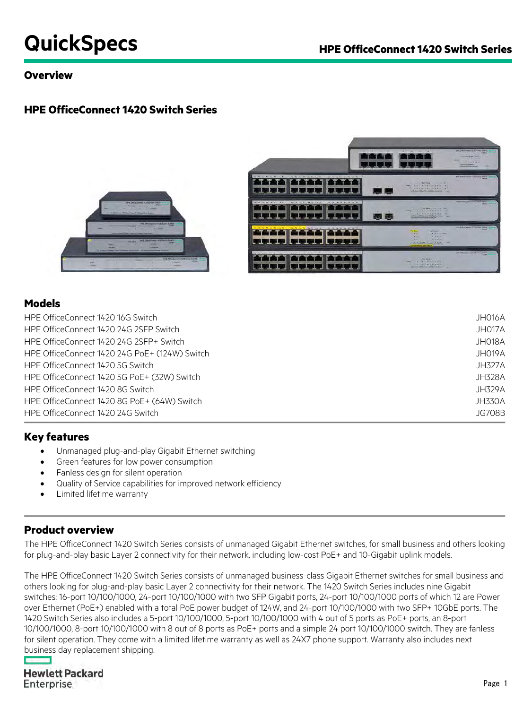# **QuickSpecs HPE OfficeConnect 1420 Switch Series**

### **Overview**

### **HPE OfficeConnect 1420 Switch Series**



### **Models**

| HPE OfficeConnect 1420 16G Switch             | JH016A        |
|-----------------------------------------------|---------------|
| HPE OfficeConnect 1420 24G 2SFP Switch        | JH017A        |
| HPE OfficeConnect 1420 24G 2SFP+ Switch       | JH018A        |
| HPE OfficeConnect 1420 24G PoE+ (124W) Switch | JH019A        |
| HPE OfficeConnect 1420 5G Switch              | <b>JH327A</b> |
| HPE OfficeConnect 1420 5G PoE+ (32W) Switch   | <b>JH328A</b> |
| HPE OfficeConnect 1420 8G Switch              | JH329A        |
| HPE OfficeConnect 1420 8G PoE + (64W) Switch  | <b>JH330A</b> |
| HPE OfficeConnect 1420 24G Switch             | <b>JG708B</b> |

### **Key features**

- Unmanaged plug-and-play Gigabit Ethernet switching
- Green features for low power consumption
- Fanless design for silent operation
- Quality of Service capabilities for improved network efficiency
- Limited lifetime warranty

### **Product overview**

The HPE OfficeConnect 1420 Switch Series consists of unmanaged Gigabit Ethernet switches, for small business and others looking for plug-and-play basic Layer 2 connectivity for their network, including low-cost PoE+ and 10-Gigabit uplink models.

The HPE OfficeConnect 1420 Switch Series consists of unmanaged business-class Gigabit Ethernet switches for small business and others looking for plug-and-play basic Layer 2 connectivity for their network. The 1420 Switch Series includes nine Gigabit switches: 16-port 10/100/1000, 24-port 10/100/1000 with two SFP Gigabit ports, 24-port 10/100/1000 ports of which 12 are Power over Ethernet (PoE+) enabled with a total PoE power budget of 124W, and 24-port 10/100/1000 with two SFP+ 10GbE ports. The 1420 Switch Series also includes a 5-port 10/100/1000, 5-port 10/100/1000 with 4 out of 5 ports as PoE+ ports, an 8-port 10/100/1000, 8-port 10/100/1000 with 8 out of 8 ports as PoE+ ports and a simple 24 port 10/100/1000 switch. They are fanless for silent operation. They come with a limited lifetime warranty as well as 24X7 phone support. Warranty also includes next business day replacement shipping.

# **Hewlett Packard** Enterprise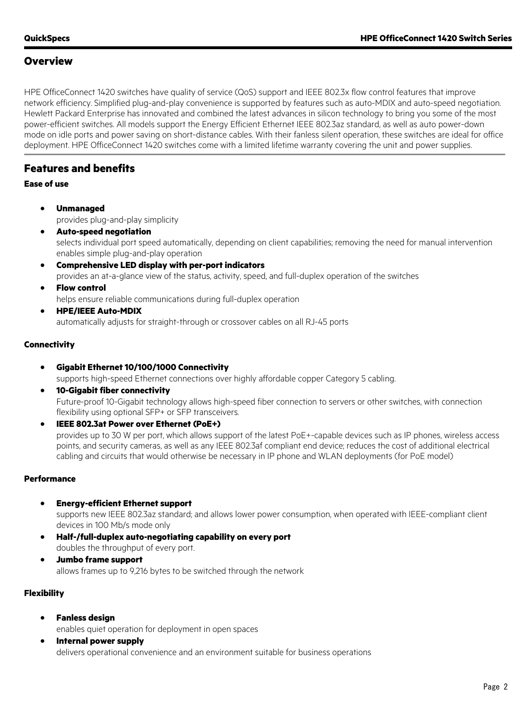### **Overview**

HPE OfficeConnect 1420 switches have quality of service (QoS) support and IEEE 802.3x flow control features that improve network efficiency. Simplified plug-and-play convenience is supported by features such as auto-MDIX and auto-speed negotiation. Hewlett Packard Enterprise has innovated and combined the latest advances in silicon technology to bring you some of the most power-efficient switches. All models support the Energy Efficient Ethernet IEEE 802.3az standard, as well as auto power-down mode on idle ports and power saving on short-distance cables. With their fanless silent operation, these switches are ideal for office deployment. HPE OfficeConnect 1420 switches come with a limited lifetime warranty covering the unit and power supplies.

### **Features and benefits**

### **Ease of use**

- **Unmanaged** provides plug-and-play simplicity
- **Auto-speed negotiation** selects individual port speed automatically, depending on client capabilities; removing the need for manual intervention enables simple plug-and-play operation
- **Comprehensive LED display with per-port indicators** provides an at-a-glance view of the status, activity, speed, and full-duplex operation of the switches
- **Flow control** helps ensure reliable communications during full-duplex operation
- **HPE/IEEE Auto-MDIX** automatically adjusts for straight-through or crossover cables on all RJ-45 ports

### **Connectivity**

- **Gigabit Ethernet 10/100/1000 Connectivity** supports high-speed Ethernet connections over highly affordable copper Category 5 cabling.
- **10-Gigabit fiber connectivity** Future-proof 10-Gigabit technology allows high-speed fiber connection to servers or other switches, with connection flexibility using optional SFP+ or SFP transceivers.
- **IEEE 802.3at Power over Ethernet (PoE+)** provides up to 30 W per port, which allows support of the latest PoE+-capable devices such as IP phones, wireless access points, and security cameras, as well as any IEEE 802.3af compliant end device; reduces the cost of additional electrical cabling and circuits that would otherwise be necessary in IP phone and WLAN deployments (for PoE model)

### **Performance**

- **Energy-efficient Ethernet support** supports new IEEE 802.3az standard; and allows lower power consumption, when operated with IEEE-compliant client devices in 100 Mb/s mode only
- **Half-/full-duplex auto-negotiating capability on every port**  doubles the throughput of every port.
- **Jumbo frame support** allows frames up to 9,216 bytes to be switched through the network

### **Flexibility**

• **Fanless design**

enables quiet operation for deployment in open spaces

• **Internal power supply** delivers operational convenience and an environment suitable for business operations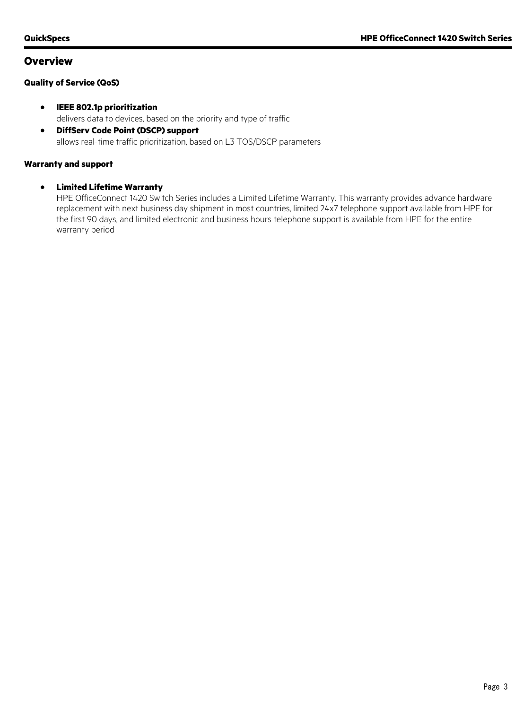### **Overview**

### **Quality of Service (QoS)**

- **IEEE 802.1p prioritization** delivers data to devices, based on the priority and type of traffic
- **DiffServ Code Point (DSCP) support** allows real-time traffic prioritization, based on L3 TOS/DSCP parameters

### **Warranty and support**

### • **Limited Lifetime Warranty**

HPE OfficeConnect 1420 Switch Series includes a Limited Lifetime Warranty. This warranty provides advance hardware replacement with next business day shipment in most countries, limited 24x7 telephone support available from HPE for the first 90 days, and limited electronic and business hours telephone support is available from HPE for the entire warranty period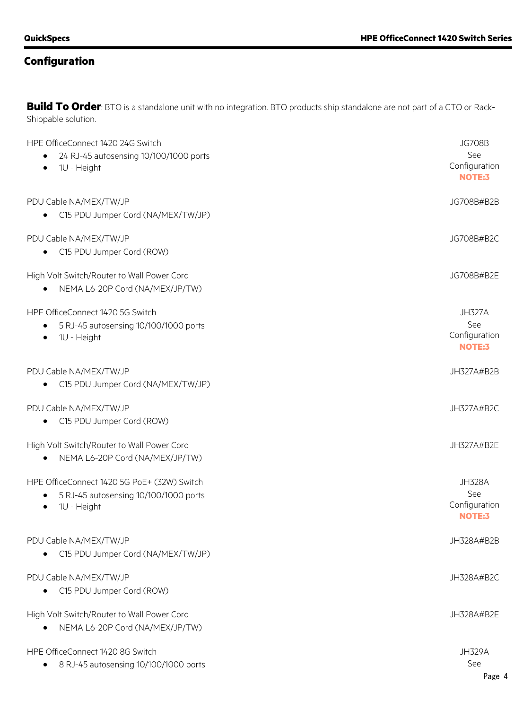**Build To Order**: BTO is a standalone unit with no integration. BTO products ship standalone are not part of a CTO or Rack-Shippable solution.

| HPE OfficeConnect 1420 24G Switch<br>24 RJ-45 autosensing 10/100/1000 ports<br>1U - Height<br>$\bullet$ | <b>JG708B</b><br>See<br>Configuration<br>NOTE:3        |
|---------------------------------------------------------------------------------------------------------|--------------------------------------------------------|
| PDU Cable NA/MEX/TW/JP<br>C15 PDU Jumper Cord (NA/MEX/TW/JP)                                            | JG708B#B2B                                             |
| PDU Cable NA/MEX/TW/JP<br>C15 PDU Jumper Cord (ROW)                                                     | JG708B#B2C                                             |
| High Volt Switch/Router to Wall Power Cord<br>NEMA L6-20P Cord (NA/MEX/JP/TW)                           | JG708B#B2E                                             |
| HPE OfficeConnect 1420 5G Switch<br>5 RJ-45 autosensing 10/100/1000 ports<br>1U - Height                | <b>JH327A</b><br>See<br>Configuration<br><b>NOTE:3</b> |
| PDU Cable NA/MEX/TW/JP<br>C15 PDU Jumper Cord (NA/MEX/TW/JP)                                            | JH327A#B2B                                             |
| PDU Cable NA/MEX/TW/JP<br>C15 PDU Jumper Cord (ROW)                                                     | JH327A#B2C                                             |
| High Volt Switch/Router to Wall Power Cord<br>NEMA L6-20P Cord (NA/MEX/JP/TW)                           | JH327A#B2E                                             |
| HPE OfficeConnect 1420 5G PoE+ (32W) Switch<br>5 RJ-45 autosensing 10/100/1000 ports<br>1U - Height     | <b>JH328A</b><br>See<br>Configuration<br><b>NOTE:3</b> |
| PDU Cable NA/MEX/TW/JP<br>C15 PDU Jumper Cord (NA/MEX/TW/JP)                                            | JH328A#B2B                                             |
| PDU Cable NA/MEX/TW/JP<br>C15 PDU Jumper Cord (ROW)                                                     | JH328A#B2C                                             |
| High Volt Switch/Router to Wall Power Cord<br>NEMA L6-20P Cord (NA/MEX/JP/TW)                           | JH328A#B2E                                             |
| HPE OfficeConnect 1420 8G Switch<br>8 RJ-45 autosensing 10/100/1000 ports                               | <b>JH329A</b><br>See                                   |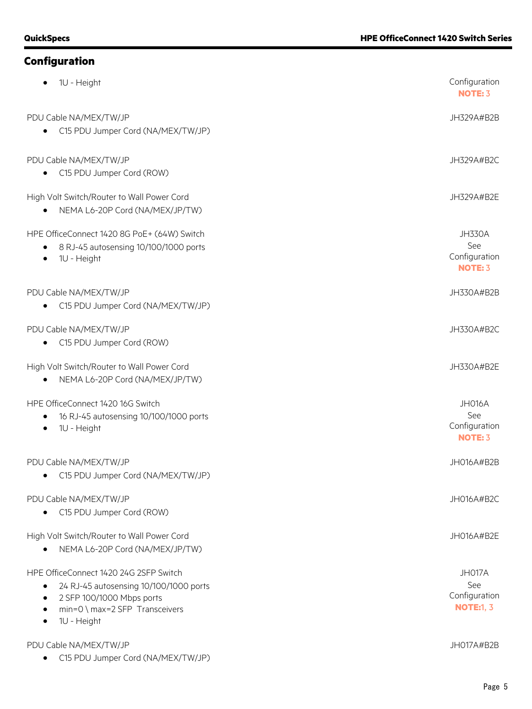| 1U - Height                                                                                                                                                    | Configuration<br><b>NOTE: 3</b>                         |
|----------------------------------------------------------------------------------------------------------------------------------------------------------------|---------------------------------------------------------|
| PDU Cable NA/MEX/TW/JP<br>C15 PDU Jumper Cord (NA/MEX/TW/JP)                                                                                                   | JH329A#B2B                                              |
| PDU Cable NA/MEX/TW/JP<br>C15 PDU Jumper Cord (ROW)                                                                                                            | JH329A#B2C                                              |
| High Volt Switch/Router to Wall Power Cord<br>NEMA L6-20P Cord (NA/MEX/JP/TW)                                                                                  | JH329A#B2E                                              |
| HPE OfficeConnect 1420 8G PoE+ (64W) Switch<br>8 RJ-45 autosensing 10/100/1000 ports<br>1U - Height                                                            | <b>JH330A</b><br>See<br>Configuration<br><b>NOTE: 3</b> |
| PDU Cable NA/MEX/TW/JP<br>C15 PDU Jumper Cord (NA/MEX/TW/JP)                                                                                                   | JH330A#B2B                                              |
| PDU Cable NA/MEX/TW/JP<br>C15 PDU Jumper Cord (ROW)                                                                                                            | JH330A#B2C                                              |
| High Volt Switch/Router to Wall Power Cord<br>NEMA L6-20P Cord (NA/MEX/JP/TW)                                                                                  | JH330A#B2E                                              |
| HPE OfficeConnect 1420 16G Switch<br>16 RJ-45 autosensing 10/100/1000 ports<br>1U - Height                                                                     | <b>JH016A</b><br>See<br>Configuration<br><b>NOTE: 3</b> |
| PDU Cable NA/MEX/TW/JP<br>C15 PDU Jumper Cord (NA/MEX/TW/JP)                                                                                                   | JH016A#B2B                                              |
| PDU Cable NA/MEX/TW/JP<br>C15 PDU Jumper Cord (ROW)                                                                                                            | JH016A#B2C                                              |
| High Volt Switch/Router to Wall Power Cord<br>NEMA L6-20P Cord (NA/MEX/JP/TW)                                                                                  | JH016A#B2E                                              |
| HPE OfficeConnect 1420 24G 2SFP Switch<br>24 RJ-45 autosensing 10/100/1000 ports<br>2 SFP 100/1000 Mbps ports<br>min=0 \ max=2 SFP Transceivers<br>1U - Height | JH017A<br>See<br>Configuration<br><b>NOTE:1, 3</b>      |
| PDU Cable NA/MEX/TW/JP<br>C15 PDU Jumper Cord (NA/MEX/TW/JP)                                                                                                   | JH017A#B2B                                              |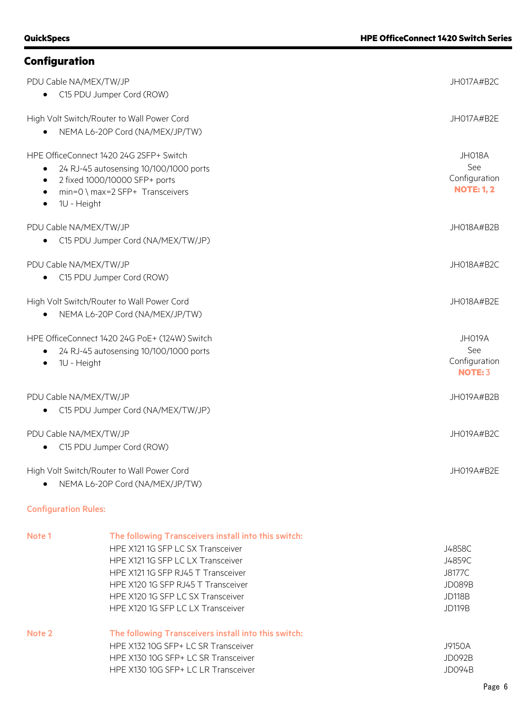| PDU Cable NA/MEX/TW/JP<br>C15 PDU Jumper Cord (ROW)                                                                                                                               | JH017A#B2C                                          |
|-----------------------------------------------------------------------------------------------------------------------------------------------------------------------------------|-----------------------------------------------------|
| High Volt Switch/Router to Wall Power Cord<br>NEMA L6-20P Cord (NA/MEX/JP/TW)                                                                                                     | JH017A#B2E                                          |
| HPE OfficeConnect 1420 24G 2SFP+ Switch<br>24 RJ-45 autosensing 10/100/1000 ports<br>2 fixed 1000/10000 SFP+ ports<br>min=0 \ max=2 SFP+ Transceivers<br>1U - Height<br>$\bullet$ | JH018A<br>See<br>Configuration<br><b>NOTE: 1, 2</b> |
| PDU Cable NA/MEX/TW/JP<br>C15 PDU Jumper Cord (NA/MEX/TW/JP)                                                                                                                      | JH018A#B2B                                          |
| PDU Cable NA/MEX/TW/JP<br>C15 PDU Jumper Cord (ROW)                                                                                                                               | JH018A#B2C                                          |
| High Volt Switch/Router to Wall Power Cord<br>NEMA L6-20P Cord (NA/MEX/JP/TW)                                                                                                     | JH018A#B2E                                          |
| HPE OfficeConnect 1420 24G PoE+ (124W) Switch<br>24 RJ-45 autosensing 10/100/1000 ports<br>1U - Height                                                                            | JH019A<br>See<br>Configuration<br><b>NOTE: 3</b>    |
| PDU Cable NA/MEX/TW/JP<br>C15 PDU Jumper Cord (NA/MEX/TW/JP)                                                                                                                      | JH019A#B2B                                          |
| PDU Cable NA/MEX/TW/JP<br>C15 PDU Jumper Cord (ROW)                                                                                                                               | <b>JH019A#B2C</b>                                   |
| High Volt Switch/Router to Wall Power Cord<br>NEMA L6-20P Cord (NA/MEX/JP/TW)                                                                                                     | JH019A#B2E                                          |

### Configuration Rules:

| Note 1 | The following Transceivers install into this switch: |               |
|--------|------------------------------------------------------|---------------|
|        | HPE X121 1G SFP LC SX Transceiver                    | J4858C        |
|        | HPE X121 1G SFP LC LX Transceiver                    | J4859C        |
|        | HPE X121 1G SFP RJ45 T Transceiver                   | J8177C        |
|        | HPE X120 1G SFP RJ45 T Transceiver                   | JD089B        |
|        | HPE X120 1G SFP LC SX Transceiver                    | <b>JD118B</b> |
|        | HPE X120 1G SFP LC LX Transceiver                    | <b>JD119B</b> |
| Note 2 | The following Transceivers install into this switch: |               |
|        | HPE X132 10G SFP+ LC SR Transceiver                  | J9150A        |
|        | HPE X130 10G SFP+ LC SR Transceiver                  | JD092B        |
|        | HPE X130 10G SFP+ LC LR Transceiver                  | JD094B        |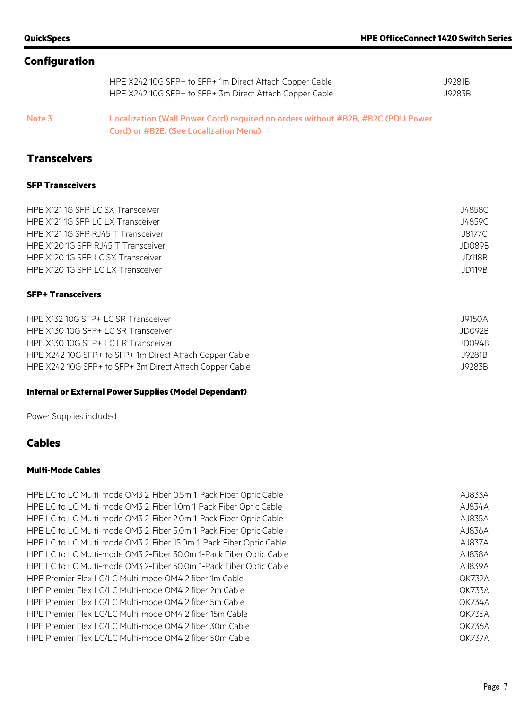| HPE X242 10G SFP+ to SFP+ 1m Direct Attach Copper Cable | J9281B |
|---------------------------------------------------------|--------|
| HPE X242 10G SFP+ to SFP+ 3m Direct Attach Copper Cable | J9283B |

Note 3 Localization (Wall Power Cord) required on orders without #B2B, #B2C (PDU Power Cord) or #B2E. (See Localization Menu)

### **Transceivers**

#### **SFP Transceivers**

| HPE X121 1G SFP LC SX Transceiver  | J4858C |
|------------------------------------|--------|
| HPE X121 1G SFP LC LX Transceiver  | J4859C |
| HPE X121 1G SFP RJ45 T Transceiver | J8177C |
| HPE X120 1G SFP RJ45 T Transceiver | JD089B |
| HPE X120 1G SFP LC SX Transceiver  | JD118B |
| HPE X120 1G SFP LC LX Transceiver  | JD119B |
|                                    |        |

### **SFP+ Transceivers**

| HPE X132 10G SFP+ LC SR Transceiver                     | J9150A |
|---------------------------------------------------------|--------|
| HPE X130 10G SFP+ LC SR Transceiver                     | JD092B |
| HPE X130 10G SFP+ LC LR Transceiver                     | JD094B |
| HPE X242 10G SFP+ to SFP+ 1m Direct Attach Copper Cable | J9281B |
| HPE X242 10G SFP+ to SFP+ 3m Direct Attach Copper Cable | J9283B |

### **Internal or External Power Supplies (Model Dependant)**

Power Supplies included

### **Cables**

### **Multi-Mode Cables**

HPE LC to LC Multi-mode OM3 2-Fiber 0.5m 1-Pack Fiber Optic Cable AJ833A HPE LC to LC Multi-mode OM3 2-Fiber 1.0m 1-Pack Fiber Optic Cable AJ834A HPE LC to LC Multi-mode OM3 2-Fiber 2.0m 1-Pack Fiber Optic Cable AJ835A HPE LC to LC Multi-mode OM3 2-Fiber 5.0m 1-Pack Fiber Optic Cable AJ836A HPE LC to LC Multi-mode OM3 2-Fiber 15.0m 1-Pack Fiber Optic Cable AJ837A HPE LC to LC Multi-mode OM3 2-Fiber 30.0m 1-Pack Fiber Optic Cable AJ838A HPE LC to LC Multi-mode OM3 2-Fiber 50.0m 1-Pack Fiber Optic Cable AJ839A HPE Premier Flex LC/LC Multi-mode OM4 2 fiber 1m Cable QK732A HPE Premier Flex LC/LC Multi-mode OM4 2 fiber 2m Cable QK733A HPE Premier Flex LC/LC Multi-mode OM4 2 fiber 5m Cable QK734A HPE Premier Flex LC/LC Multi-mode OM4 2 fiber 15m Cable QK735A HPE Premier Flex LC/LC Multi-mode OM4 2 fiber 30m Cable QK736A HPE Premier Flex LC/LC Multi-mode OM4 2 fiber 50m Cable QK737A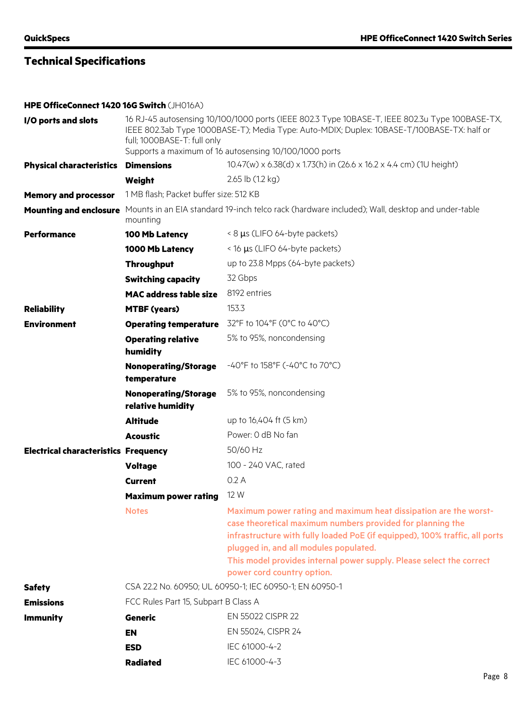**HPE OfficeConnect 1420 16G Switch** (JH016A)

| I/O ports and slots                         | 16 RJ-45 autosensing 10/100/1000 ports (IEEE 802.3 Type 10BASE-T, IEEE 802.3u Type 100BASE-TX,<br>IEEE 802.3ab Type 1000BASE-T); Media Type: Auto-MDIX; Duplex: 10BASE-T/100BASE-TX: half or<br>full; 1000BASE-T: full only<br>Supports a maximum of 16 autosensing 10/100/1000 ports |                                                                                                                                                                                                                                                                                                                                                               |
|---------------------------------------------|---------------------------------------------------------------------------------------------------------------------------------------------------------------------------------------------------------------------------------------------------------------------------------------|---------------------------------------------------------------------------------------------------------------------------------------------------------------------------------------------------------------------------------------------------------------------------------------------------------------------------------------------------------------|
| <b>Physical characteristics</b>             | <b>Dimensions</b>                                                                                                                                                                                                                                                                     | 10.47(w) x 6.38(d) x 1.73(h) in (26.6 x 16.2 x 4.4 cm) (1U height)                                                                                                                                                                                                                                                                                            |
|                                             | Weight                                                                                                                                                                                                                                                                                | 2.65 lb (1.2 kg)                                                                                                                                                                                                                                                                                                                                              |
| <b>Memory and processor</b>                 | 1 MB flash; Packet buffer size: 512 KB                                                                                                                                                                                                                                                |                                                                                                                                                                                                                                                                                                                                                               |
|                                             | mounting                                                                                                                                                                                                                                                                              | Mounting and enclosure Mounts in an EIA standard 19-inch telco rack (hardware included); Wall, desktop and under-table                                                                                                                                                                                                                                        |
| <b>Performance</b>                          | 100 Mb Latency                                                                                                                                                                                                                                                                        | < 8 µs (LIFO 64-byte packets)                                                                                                                                                                                                                                                                                                                                 |
|                                             | 1000 Mb Latency                                                                                                                                                                                                                                                                       | < 16 µs (LIFO 64-byte packets)                                                                                                                                                                                                                                                                                                                                |
|                                             | <b>Throughput</b>                                                                                                                                                                                                                                                                     | up to 23.8 Mpps (64-byte packets)                                                                                                                                                                                                                                                                                                                             |
|                                             | <b>Switching capacity</b>                                                                                                                                                                                                                                                             | 32 Gbps                                                                                                                                                                                                                                                                                                                                                       |
|                                             | <b>MAC address table size</b>                                                                                                                                                                                                                                                         | 8192 entries                                                                                                                                                                                                                                                                                                                                                  |
| <b>Reliability</b>                          | <b>MTBF (years)</b>                                                                                                                                                                                                                                                                   | 153.3                                                                                                                                                                                                                                                                                                                                                         |
| <b>Environment</b>                          | <b>Operating temperature</b>                                                                                                                                                                                                                                                          | 32°F to 104°F (0°C to 40°C)                                                                                                                                                                                                                                                                                                                                   |
|                                             | <b>Operating relative</b><br>humidity                                                                                                                                                                                                                                                 | 5% to 95%, noncondensing                                                                                                                                                                                                                                                                                                                                      |
|                                             | <b>Nonoperating/Storage</b><br>temperature                                                                                                                                                                                                                                            | -40°F to 158°F (-40°C to 70°C)                                                                                                                                                                                                                                                                                                                                |
|                                             | <b>Nonoperating/Storage</b><br>relative humidity                                                                                                                                                                                                                                      | 5% to 95%, noncondensing                                                                                                                                                                                                                                                                                                                                      |
|                                             | <b>Altitude</b>                                                                                                                                                                                                                                                                       | up to 16,404 ft (5 km)                                                                                                                                                                                                                                                                                                                                        |
|                                             | <b>Acoustic</b>                                                                                                                                                                                                                                                                       | Power: 0 dB No fan                                                                                                                                                                                                                                                                                                                                            |
| <b>Electrical characteristics Frequency</b> |                                                                                                                                                                                                                                                                                       | 50/60 Hz                                                                                                                                                                                                                                                                                                                                                      |
|                                             | <b>Voltage</b>                                                                                                                                                                                                                                                                        | 100 - 240 VAC, rated                                                                                                                                                                                                                                                                                                                                          |
|                                             | <b>Current</b>                                                                                                                                                                                                                                                                        | 0.2A                                                                                                                                                                                                                                                                                                                                                          |
|                                             | <b>Maximum power rating</b>                                                                                                                                                                                                                                                           | 12 W                                                                                                                                                                                                                                                                                                                                                          |
|                                             | <b>Notes</b>                                                                                                                                                                                                                                                                          | Maximum power rating and maximum heat dissipation are the worst-<br>case theoretical maximum numbers provided for planning the<br>infrastructure with fully loaded PoE (if equipped), 100% traffic, all ports<br>plugged in, and all modules populated.<br>This model provides internal power supply. Please select the correct<br>power cord country option. |
| <b>Safety</b>                               |                                                                                                                                                                                                                                                                                       | CSA 22.2 No. 60950; UL 60950-1; IEC 60950-1; EN 60950-1                                                                                                                                                                                                                                                                                                       |
| <b>Emissions</b>                            | FCC Rules Part 15, Subpart B Class A                                                                                                                                                                                                                                                  |                                                                                                                                                                                                                                                                                                                                                               |
| <b>Immunity</b>                             | Generic                                                                                                                                                                                                                                                                               | EN 55022 CISPR 22                                                                                                                                                                                                                                                                                                                                             |
|                                             | <b>EN</b>                                                                                                                                                                                                                                                                             | EN 55024, CISPR 24                                                                                                                                                                                                                                                                                                                                            |
|                                             | <b>ESD</b>                                                                                                                                                                                                                                                                            | IEC 61000-4-2                                                                                                                                                                                                                                                                                                                                                 |
|                                             | <b>Radiated</b>                                                                                                                                                                                                                                                                       | IEC 61000-4-3                                                                                                                                                                                                                                                                                                                                                 |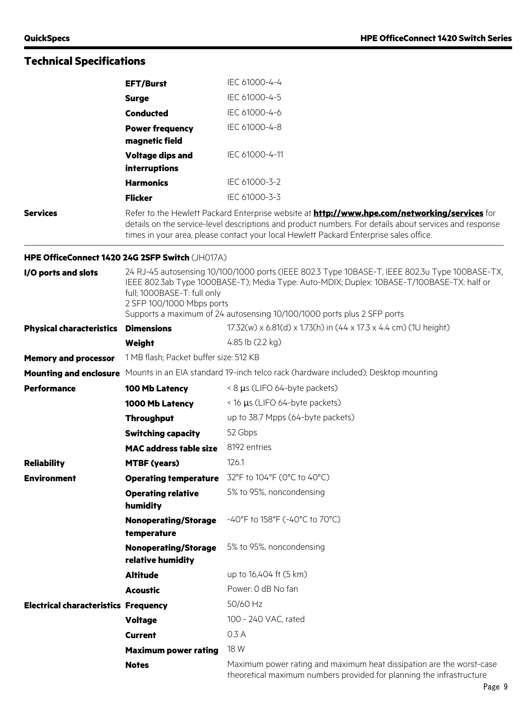|                                             | <b>EFT/Burst</b>                                                                                                                                                                                                                                                                                                                    | IEC 61000-4-4                                                                                                                                |  |
|---------------------------------------------|-------------------------------------------------------------------------------------------------------------------------------------------------------------------------------------------------------------------------------------------------------------------------------------------------------------------------------------|----------------------------------------------------------------------------------------------------------------------------------------------|--|
|                                             | <b>Surge</b>                                                                                                                                                                                                                                                                                                                        | IEC 61000-4-5                                                                                                                                |  |
|                                             | <b>Conducted</b>                                                                                                                                                                                                                                                                                                                    | IEC 61000-4-6                                                                                                                                |  |
|                                             | <b>Power frequency</b><br>magnetic field                                                                                                                                                                                                                                                                                            | IEC 61000-4-8                                                                                                                                |  |
|                                             | <b>Voltage dips and</b><br>interruptions                                                                                                                                                                                                                                                                                            | IEC 61000-4-11                                                                                                                               |  |
|                                             | <b>Harmonics</b>                                                                                                                                                                                                                                                                                                                    | IEC 61000-3-2                                                                                                                                |  |
|                                             | <b>Flicker</b>                                                                                                                                                                                                                                                                                                                      | IEC 61000-3-3                                                                                                                                |  |
| <b>Services</b>                             | Refer to the Hewlett Packard Enterprise website at <b>http://www.hpe.com/networking/services</b> for<br>details on the service-level descriptions and product numbers. For details about services and response<br>times in your area, please contact your local Hewlett Packard Enterprise sales office.                            |                                                                                                                                              |  |
|                                             | HPE OfficeConnect 1420 24G 2SFP Switch (JH017A)                                                                                                                                                                                                                                                                                     |                                                                                                                                              |  |
| I/O ports and slots                         | 24 RJ-45 autosensing 10/100/1000 ports (IEEE 802.3 Type 10BASE-T, IEEE 802.3u Type 100BASE-TX,<br>IEEE 802.3ab Type 1000BASE-T); Media Type: Auto-MDIX; Duplex: 10BASE-T/100BASE-TX: half or<br>full; 1000BASE-T: full only<br>2 SFP 100/1000 Mbps ports<br>Supports a maximum of 24 autosensing 10/100/1000 ports plus 2 SFP ports |                                                                                                                                              |  |
| <b>Physical characteristics</b>             | <b>Dimensions</b>                                                                                                                                                                                                                                                                                                                   | 17.32(w) x 6.81(d) x 1.73(h) in (44 x 17.3 x 4.4 cm) (1U height)                                                                             |  |
|                                             | Weight                                                                                                                                                                                                                                                                                                                              | 4.85 lb (2.2 kg)                                                                                                                             |  |
| <b>Memory and processor</b>                 | 1 MB flash; Packet buffer size: 512 KB                                                                                                                                                                                                                                                                                              |                                                                                                                                              |  |
| <b>Mounting and enclosure</b>               |                                                                                                                                                                                                                                                                                                                                     | Mounts in an EIA standard 19-inch telco rack (hardware included); Desktop mounting                                                           |  |
| <b>Performance</b>                          | 100 Mb Latency                                                                                                                                                                                                                                                                                                                      | < 8 µs (LIFO 64-byte packets)                                                                                                                |  |
|                                             | 1000 Mb Latency                                                                                                                                                                                                                                                                                                                     | < 16 µs (LIFO 64-byte packets)                                                                                                               |  |
|                                             | <b>Throughput</b>                                                                                                                                                                                                                                                                                                                   | up to 38.7 Mpps (64-byte packets)                                                                                                            |  |
|                                             | <b>Switching capacity</b>                                                                                                                                                                                                                                                                                                           | 52 Gbps                                                                                                                                      |  |
|                                             | <b>MAC address table size</b>                                                                                                                                                                                                                                                                                                       | 8192 entries                                                                                                                                 |  |
| <b>Reliability</b>                          | <b>MTBF (years)</b>                                                                                                                                                                                                                                                                                                                 | 126.1                                                                                                                                        |  |
| <b>Environment</b>                          |                                                                                                                                                                                                                                                                                                                                     | Operating temperature 32°F to 104°F (0°C to 40°C)                                                                                            |  |
|                                             | <b>Operating relative</b><br>humidity                                                                                                                                                                                                                                                                                               | 5% to 95%, noncondensing                                                                                                                     |  |
|                                             | <b>Nonoperating/Storage</b><br>temperature                                                                                                                                                                                                                                                                                          | -40°F to 158°F (-40°C to 70°C)                                                                                                               |  |
|                                             | <b>Nonoperating/Storage</b><br>relative humidity                                                                                                                                                                                                                                                                                    | 5% to 95%, noncondensing                                                                                                                     |  |
|                                             | <b>Altitude</b>                                                                                                                                                                                                                                                                                                                     | up to 16,404 ft (5 km)                                                                                                                       |  |
|                                             | <b>Acoustic</b>                                                                                                                                                                                                                                                                                                                     | Power: 0 dB No fan                                                                                                                           |  |
| <b>Electrical characteristics Frequency</b> |                                                                                                                                                                                                                                                                                                                                     | 50/60 Hz                                                                                                                                     |  |
|                                             | <b>Voltage</b>                                                                                                                                                                                                                                                                                                                      | 100 - 240 VAC, rated                                                                                                                         |  |
|                                             | <b>Current</b>                                                                                                                                                                                                                                                                                                                      | 0.3 A                                                                                                                                        |  |
|                                             | <b>Maximum power rating</b>                                                                                                                                                                                                                                                                                                         | 18 W                                                                                                                                         |  |
|                                             | <b>Notes</b>                                                                                                                                                                                                                                                                                                                        | Maximum power rating and maximum heat dissipation are the worst-case<br>theoretical maximum numbers provided for planning the infrastructure |  |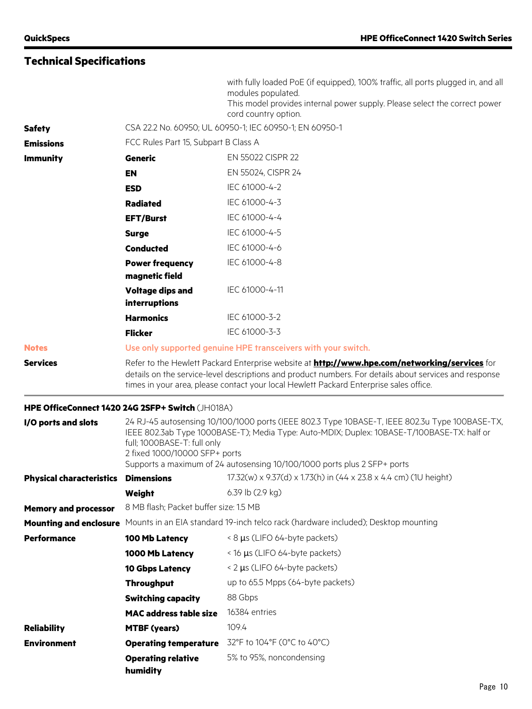|                                            |                                                                                                                                                                                                                                                                                                                                          | with fully loaded PoE (if equipped), 100% traffic, all ports plugged in, and all<br>modules populated.<br>This model provides internal power supply. Please select the correct power<br>cord country option. |  |
|--------------------------------------------|------------------------------------------------------------------------------------------------------------------------------------------------------------------------------------------------------------------------------------------------------------------------------------------------------------------------------------------|--------------------------------------------------------------------------------------------------------------------------------------------------------------------------------------------------------------|--|
| <b>Safety</b>                              | CSA 22.2 No. 60950; UL 60950-1; IEC 60950-1; EN 60950-1                                                                                                                                                                                                                                                                                  |                                                                                                                                                                                                              |  |
| <b>Emissions</b>                           | FCC Rules Part 15, Subpart B Class A                                                                                                                                                                                                                                                                                                     |                                                                                                                                                                                                              |  |
| <b>Immunity</b>                            | <b>Generic</b>                                                                                                                                                                                                                                                                                                                           | EN 55022 CISPR 22                                                                                                                                                                                            |  |
|                                            | <b>EN</b>                                                                                                                                                                                                                                                                                                                                | EN 55024, CISPR 24                                                                                                                                                                                           |  |
|                                            | <b>ESD</b>                                                                                                                                                                                                                                                                                                                               | IEC 61000-4-2                                                                                                                                                                                                |  |
|                                            | <b>Radiated</b>                                                                                                                                                                                                                                                                                                                          | IEC 61000-4-3                                                                                                                                                                                                |  |
|                                            | <b>EFT/Burst</b>                                                                                                                                                                                                                                                                                                                         | IEC 61000-4-4                                                                                                                                                                                                |  |
|                                            | <b>Surge</b>                                                                                                                                                                                                                                                                                                                             | IEC 61000-4-5                                                                                                                                                                                                |  |
|                                            | <b>Conducted</b>                                                                                                                                                                                                                                                                                                                         | IEC 61000-4-6                                                                                                                                                                                                |  |
|                                            | <b>Power frequency</b><br>magnetic field                                                                                                                                                                                                                                                                                                 | IEC 61000-4-8                                                                                                                                                                                                |  |
|                                            | <b>Voltage dips and</b><br>interruptions                                                                                                                                                                                                                                                                                                 | IEC 61000-4-11                                                                                                                                                                                               |  |
|                                            | <b>Harmonics</b>                                                                                                                                                                                                                                                                                                                         | IEC 61000-3-2                                                                                                                                                                                                |  |
|                                            | <b>Flicker</b>                                                                                                                                                                                                                                                                                                                           | IEC 61000-3-3                                                                                                                                                                                                |  |
| <b>Notes</b>                               |                                                                                                                                                                                                                                                                                                                                          | Use only supported genuine HPE transceivers with your switch.                                                                                                                                                |  |
| <b>Services</b>                            | Refer to the Hewlett Packard Enterprise website at <b>http://www.hpe.com/networking/services</b> for<br>details on the service-level descriptions and product numbers. For details about services and response<br>times in your area, please contact your local Hewlett Packard Enterprise sales office.                                 |                                                                                                                                                                                                              |  |
|                                            | HPE OfficeConnect 1420 24G 2SFP+ Switch (JH018A)                                                                                                                                                                                                                                                                                         |                                                                                                                                                                                                              |  |
| I/O ports and slots                        | 24 RJ-45 autosensing 10/100/1000 ports (IEEE 802.3 Type 10BASE-T, IEEE 802.3u Type 100BASE-TX,<br>IEEE 802.3ab Type 1000BASE-T); Media Type: Auto-MDIX; Duplex: 10BASE-T/100BASE-TX: half or<br>full; 1000BASE-T: full only<br>2 fixed 1000/10000 SFP+ ports<br>Supports a maximum of 24 autosensing 10/100/1000 ports plus 2 SFP+ ports |                                                                                                                                                                                                              |  |
| <b>Physical characteristics Dimensions</b> |                                                                                                                                                                                                                                                                                                                                          | 17.32(w) x 9.37(d) x 1.73(h) in (44 x 23.8 x 4.4 cm) (1U height)                                                                                                                                             |  |
|                                            | Weight                                                                                                                                                                                                                                                                                                                                   | 6.39 lb (2.9 kg)                                                                                                                                                                                             |  |
| <b>Memory and processor</b>                | 8 MB flash; Packet buffer size: 1.5 MB                                                                                                                                                                                                                                                                                                   |                                                                                                                                                                                                              |  |
|                                            |                                                                                                                                                                                                                                                                                                                                          | Mounting and enclosure Mounts in an EIA standard 19-inch telco rack (hardware included); Desktop mounting                                                                                                    |  |
| <b>Performance</b>                         | 100 Mb Latency                                                                                                                                                                                                                                                                                                                           | < 8 µs (LIFO 64-byte packets)                                                                                                                                                                                |  |
|                                            | 1000 Mb Latency                                                                                                                                                                                                                                                                                                                          | < 16 µs (LIFO 64-byte packets)                                                                                                                                                                               |  |
|                                            | <b>10 Gbps Latency</b>                                                                                                                                                                                                                                                                                                                   | < 2 µs (LIFO 64-byte packets)                                                                                                                                                                                |  |
|                                            | <b>Throughput</b>                                                                                                                                                                                                                                                                                                                        | up to 65.5 Mpps (64-byte packets)                                                                                                                                                                            |  |
|                                            | <b>Switching capacity</b>                                                                                                                                                                                                                                                                                                                | 88 Gbps                                                                                                                                                                                                      |  |
|                                            | <b>MAC address table size</b>                                                                                                                                                                                                                                                                                                            | 16384 entries                                                                                                                                                                                                |  |
| <b>Reliability</b>                         | <b>MTBF (years)</b>                                                                                                                                                                                                                                                                                                                      | 109.4                                                                                                                                                                                                        |  |
| <b>Environment</b>                         | <b>Operating temperature</b>                                                                                                                                                                                                                                                                                                             | 32°F to 104°F (0°C to 40°C)                                                                                                                                                                                  |  |
|                                            | <b>Operating relative</b><br>humidity                                                                                                                                                                                                                                                                                                    | 5% to 95%, noncondensing                                                                                                                                                                                     |  |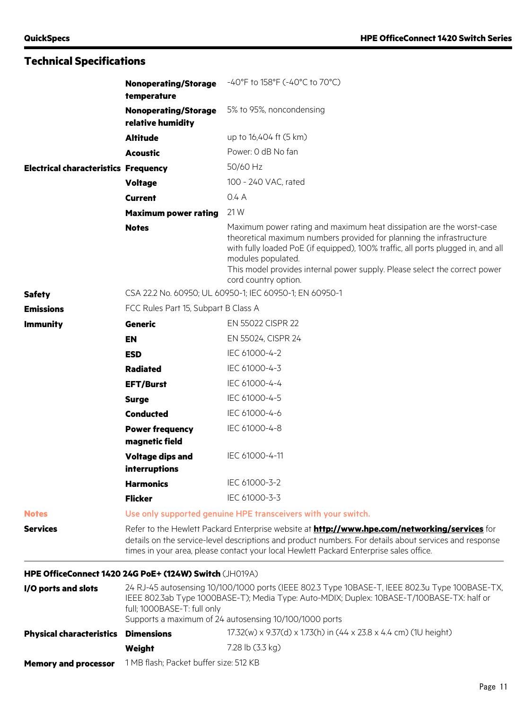|                                             | <b>Nonoperating/Storage</b><br>temperature                                                                                                                                                                                                                                                               | -40°F to 158°F (-40°C to 70°C)                                                                                                                                                                                                                                                                                                                               |
|---------------------------------------------|----------------------------------------------------------------------------------------------------------------------------------------------------------------------------------------------------------------------------------------------------------------------------------------------------------|--------------------------------------------------------------------------------------------------------------------------------------------------------------------------------------------------------------------------------------------------------------------------------------------------------------------------------------------------------------|
|                                             | <b>Nonoperating/Storage</b><br>relative humidity                                                                                                                                                                                                                                                         | 5% to 95%, noncondensing                                                                                                                                                                                                                                                                                                                                     |
|                                             | <b>Altitude</b>                                                                                                                                                                                                                                                                                          | up to 16,404 ft (5 km)                                                                                                                                                                                                                                                                                                                                       |
|                                             | <b>Acoustic</b>                                                                                                                                                                                                                                                                                          | Power: 0 dB No fan                                                                                                                                                                                                                                                                                                                                           |
| <b>Electrical characteristics Frequency</b> |                                                                                                                                                                                                                                                                                                          | 50/60 Hz                                                                                                                                                                                                                                                                                                                                                     |
|                                             | <b>Voltage</b>                                                                                                                                                                                                                                                                                           | 100 - 240 VAC, rated                                                                                                                                                                                                                                                                                                                                         |
|                                             | <b>Current</b>                                                                                                                                                                                                                                                                                           | 0.4 A                                                                                                                                                                                                                                                                                                                                                        |
|                                             | <b>Maximum power rating</b>                                                                                                                                                                                                                                                                              | 21 W                                                                                                                                                                                                                                                                                                                                                         |
|                                             | <b>Notes</b>                                                                                                                                                                                                                                                                                             | Maximum power rating and maximum heat dissipation are the worst-case<br>theoretical maximum numbers provided for planning the infrastructure<br>with fully loaded PoE (if equipped), 100% traffic, all ports plugged in, and all<br>modules populated.<br>This model provides internal power supply. Please select the correct power<br>cord country option. |
| <b>Safety</b>                               | CSA 22.2 No. 60950; UL 60950-1; IEC 60950-1; EN 60950-1                                                                                                                                                                                                                                                  |                                                                                                                                                                                                                                                                                                                                                              |
| <b>Emissions</b>                            | FCC Rules Part 15, Subpart B Class A                                                                                                                                                                                                                                                                     |                                                                                                                                                                                                                                                                                                                                                              |
| <b>Immunity</b>                             | Generic                                                                                                                                                                                                                                                                                                  | EN 55022 CISPR 22                                                                                                                                                                                                                                                                                                                                            |
|                                             | <b>EN</b>                                                                                                                                                                                                                                                                                                | EN 55024, CISPR 24                                                                                                                                                                                                                                                                                                                                           |
|                                             | <b>ESD</b>                                                                                                                                                                                                                                                                                               | IEC 61000-4-2                                                                                                                                                                                                                                                                                                                                                |
|                                             | <b>Radiated</b>                                                                                                                                                                                                                                                                                          | IEC 61000-4-3                                                                                                                                                                                                                                                                                                                                                |
|                                             | <b>EFT/Burst</b>                                                                                                                                                                                                                                                                                         | IEC 61000-4-4                                                                                                                                                                                                                                                                                                                                                |
|                                             | <b>Surge</b>                                                                                                                                                                                                                                                                                             | IEC 61000-4-5                                                                                                                                                                                                                                                                                                                                                |
|                                             | <b>Conducted</b>                                                                                                                                                                                                                                                                                         | IEC 61000-4-6                                                                                                                                                                                                                                                                                                                                                |
|                                             | <b>Power frequency</b><br>magnetic field                                                                                                                                                                                                                                                                 | IEC 61000-4-8                                                                                                                                                                                                                                                                                                                                                |
|                                             | <b>Voltage dips and</b>                                                                                                                                                                                                                                                                                  | IEC 61000-4-11                                                                                                                                                                                                                                                                                                                                               |
|                                             | interruptions                                                                                                                                                                                                                                                                                            |                                                                                                                                                                                                                                                                                                                                                              |
|                                             | <b>Harmonics</b>                                                                                                                                                                                                                                                                                         | IEC 61000-3-2                                                                                                                                                                                                                                                                                                                                                |
|                                             | <b>Flicker</b>                                                                                                                                                                                                                                                                                           | IEC 61000-3-3                                                                                                                                                                                                                                                                                                                                                |
| <b>Notes</b>                                |                                                                                                                                                                                                                                                                                                          | Use only supported genuine HPE transceivers with your switch.                                                                                                                                                                                                                                                                                                |
| <b>Services</b>                             | Refer to the Hewlett Packard Enterprise website at <b>http://www.hpe.com/networking/services</b> for<br>details on the service-level descriptions and product numbers. For details about services and response<br>times in your area, please contact your local Hewlett Packard Enterprise sales office. |                                                                                                                                                                                                                                                                                                                                                              |
|                                             | HPE OfficeConnect 1420 24G PoE+ (124W) Switch (JH019A)                                                                                                                                                                                                                                                   |                                                                                                                                                                                                                                                                                                                                                              |
| I/O ports and slots                         | 24 RJ-45 autosensing 10/100/1000 ports (IEEE 802.3 Type 10BASE-T, IEEE 802.3u Type 100BASE-TX,<br>IEEE 802.3ab Type 1000BASE-T); Media Type: Auto-MDIX; Duplex: 10BASE-T/100BASE-TX: half or<br>full; 1000BASE-T: full only<br>Supports a maximum of 24 autosensing 10/100/1000 ports                    |                                                                                                                                                                                                                                                                                                                                                              |
| <b>Physical characteristics</b>             | <b>Dimensions</b>                                                                                                                                                                                                                                                                                        | 17.32(w) x 9.37(d) x 1.73(h) in (44 x 23.8 x 4.4 cm) (1U height)                                                                                                                                                                                                                                                                                             |
|                                             | Weight                                                                                                                                                                                                                                                                                                   | 7.28 lb (3.3 kg)                                                                                                                                                                                                                                                                                                                                             |

**Memory and processor** 1 MB flash; Packet buffer size: 512 KB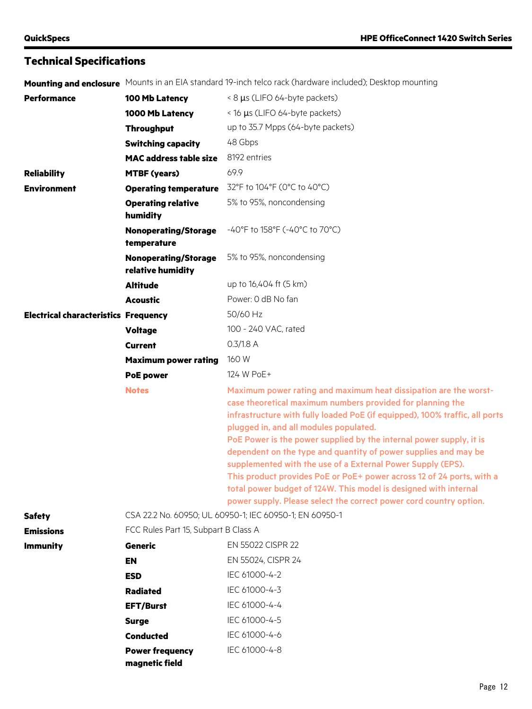|  |  |  | Mounting and enclosure Mounts in an EIA standard 19-inch telco rack (hardware included); Desktop mounting |
|--|--|--|-----------------------------------------------------------------------------------------------------------|
|--|--|--|-----------------------------------------------------------------------------------------------------------|

| <b>Performance</b>                          | 100 Mb Latency                                   | < 8 µs (LIFO 64-byte packets)                                                                                                                                                                                                                                                                                                                                                                                                                                                                                                                                                                                                                                                       |  |
|---------------------------------------------|--------------------------------------------------|-------------------------------------------------------------------------------------------------------------------------------------------------------------------------------------------------------------------------------------------------------------------------------------------------------------------------------------------------------------------------------------------------------------------------------------------------------------------------------------------------------------------------------------------------------------------------------------------------------------------------------------------------------------------------------------|--|
|                                             | 1000 Mb Latency                                  | < 16 µs (LIFO 64-byte packets)                                                                                                                                                                                                                                                                                                                                                                                                                                                                                                                                                                                                                                                      |  |
|                                             | <b>Throughput</b>                                | up to 35.7 Mpps (64-byte packets)                                                                                                                                                                                                                                                                                                                                                                                                                                                                                                                                                                                                                                                   |  |
|                                             | <b>Switching capacity</b>                        | 48 Gbps                                                                                                                                                                                                                                                                                                                                                                                                                                                                                                                                                                                                                                                                             |  |
|                                             | <b>MAC address table size</b>                    | 8192 entries                                                                                                                                                                                                                                                                                                                                                                                                                                                                                                                                                                                                                                                                        |  |
| <b>Reliability</b>                          | <b>MTBF (years)</b>                              | 69.9                                                                                                                                                                                                                                                                                                                                                                                                                                                                                                                                                                                                                                                                                |  |
| <b>Environment</b>                          | <b>Operating temperature</b>                     | 32°F to 104°F (0°C to 40°C)                                                                                                                                                                                                                                                                                                                                                                                                                                                                                                                                                                                                                                                         |  |
|                                             | <b>Operating relative</b><br>humidity            | 5% to 95%, noncondensing                                                                                                                                                                                                                                                                                                                                                                                                                                                                                                                                                                                                                                                            |  |
|                                             | <b>Nonoperating/Storage</b><br>temperature       | -40°F to 158°F (-40°C to 70°C)                                                                                                                                                                                                                                                                                                                                                                                                                                                                                                                                                                                                                                                      |  |
|                                             | <b>Nonoperating/Storage</b><br>relative humidity | 5% to 95%, noncondensing                                                                                                                                                                                                                                                                                                                                                                                                                                                                                                                                                                                                                                                            |  |
|                                             | <b>Altitude</b>                                  | up to 16,404 ft (5 km)                                                                                                                                                                                                                                                                                                                                                                                                                                                                                                                                                                                                                                                              |  |
|                                             | <b>Acoustic</b>                                  | Power: 0 dB No fan                                                                                                                                                                                                                                                                                                                                                                                                                                                                                                                                                                                                                                                                  |  |
| <b>Electrical characteristics Frequency</b> |                                                  | 50/60 Hz                                                                                                                                                                                                                                                                                                                                                                                                                                                                                                                                                                                                                                                                            |  |
|                                             | <b>Voltage</b>                                   | 100 - 240 VAC, rated                                                                                                                                                                                                                                                                                                                                                                                                                                                                                                                                                                                                                                                                |  |
|                                             | <b>Current</b>                                   | $0.3/1.8$ A                                                                                                                                                                                                                                                                                                                                                                                                                                                                                                                                                                                                                                                                         |  |
|                                             | <b>Maximum power rating</b>                      | 160 W                                                                                                                                                                                                                                                                                                                                                                                                                                                                                                                                                                                                                                                                               |  |
|                                             | <b>PoE power</b>                                 | 124 W PoE+                                                                                                                                                                                                                                                                                                                                                                                                                                                                                                                                                                                                                                                                          |  |
|                                             | <b>Notes</b>                                     | Maximum power rating and maximum heat dissipation are the worst-<br>case theoretical maximum numbers provided for planning the<br>infrastructure with fully loaded PoE (if equipped), 100% traffic, all ports<br>plugged in, and all modules populated.<br>PoE Power is the power supplied by the internal power supply, it is<br>dependent on the type and quantity of power supplies and may be<br>supplemented with the use of a External Power Supply (EPS).<br>This product provides PoE or PoE+ power across 12 of 24 ports, with a<br>total power budget of 124W. This model is designed with internal<br>power supply. Please select the correct power cord country option. |  |
| <b>Safety</b>                               |                                                  | CSA 22.2 No. 60950; UL 60950-1; IEC 60950-1; EN 60950-1                                                                                                                                                                                                                                                                                                                                                                                                                                                                                                                                                                                                                             |  |
| <b>Emissions</b>                            |                                                  | FCC Rules Part 15, Subpart B Class A                                                                                                                                                                                                                                                                                                                                                                                                                                                                                                                                                                                                                                                |  |
| <b>Immunity</b>                             | <b>Generic</b>                                   | EN 55022 CISPR 22                                                                                                                                                                                                                                                                                                                                                                                                                                                                                                                                                                                                                                                                   |  |
|                                             | <b>EN</b>                                        | EN 55024, CISPR 24                                                                                                                                                                                                                                                                                                                                                                                                                                                                                                                                                                                                                                                                  |  |
|                                             | <b>ESD</b>                                       | IEC 61000-4-2                                                                                                                                                                                                                                                                                                                                                                                                                                                                                                                                                                                                                                                                       |  |
|                                             | <b>Radiated</b>                                  | IEC 61000-4-3                                                                                                                                                                                                                                                                                                                                                                                                                                                                                                                                                                                                                                                                       |  |
|                                             | <b>EFT/Burst</b>                                 | IEC 61000-4-4                                                                                                                                                                                                                                                                                                                                                                                                                                                                                                                                                                                                                                                                       |  |
|                                             | <b>Surge</b>                                     | IEC 61000-4-5                                                                                                                                                                                                                                                                                                                                                                                                                                                                                                                                                                                                                                                                       |  |
|                                             | <b>Conducted</b>                                 | IEC 61000-4-6                                                                                                                                                                                                                                                                                                                                                                                                                                                                                                                                                                                                                                                                       |  |
|                                             | <b>Power frequency</b><br>magnetic field         | IEC 61000-4-8                                                                                                                                                                                                                                                                                                                                                                                                                                                                                                                                                                                                                                                                       |  |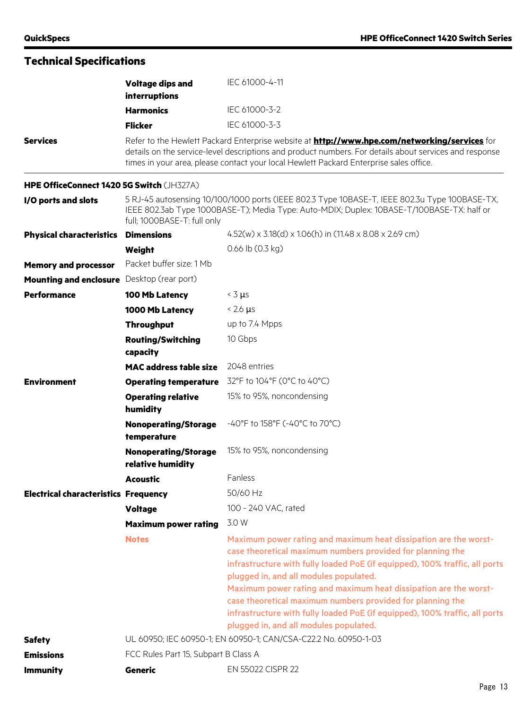|                                             | <b>Voltage dips and</b><br>interruptions         | IEC 61000-4-11                                                                                                                                                                                                                                                                                                                                                                                                                                                                                                     |
|---------------------------------------------|--------------------------------------------------|--------------------------------------------------------------------------------------------------------------------------------------------------------------------------------------------------------------------------------------------------------------------------------------------------------------------------------------------------------------------------------------------------------------------------------------------------------------------------------------------------------------------|
|                                             | <b>Harmonics</b>                                 | IEC 61000-3-2                                                                                                                                                                                                                                                                                                                                                                                                                                                                                                      |
|                                             | <b>Flicker</b>                                   | IEC 61000-3-3                                                                                                                                                                                                                                                                                                                                                                                                                                                                                                      |
| <b>Services</b>                             |                                                  | Refer to the Hewlett Packard Enterprise website at <b>http://www.hpe.com/networking/services</b> for<br>details on the service-level descriptions and product numbers. For details about services and response<br>times in your area, please contact your local Hewlett Packard Enterprise sales office.                                                                                                                                                                                                           |
| HPE OfficeConnect 1420 5G Switch (JH327A)   |                                                  |                                                                                                                                                                                                                                                                                                                                                                                                                                                                                                                    |
| I/O ports and slots                         | full; 1000BASE-T: full only                      | 5 RJ-45 autosensing 10/100/1000 ports (IEEE 802.3 Type 10BASE-T, IEEE 802.3u Type 100BASE-TX,<br>IEEE 802.3ab Type 1000BASE-T); Media Type: Auto-MDIX; Duplex: 10BASE-T/100BASE-TX: half or                                                                                                                                                                                                                                                                                                                        |
| <b>Physical characteristics</b>             | <b>Dimensions</b>                                | $4.52(w) \times 3.18(d) \times 1.06(h)$ in $(11.48 \times 8.08 \times 2.69$ cm)                                                                                                                                                                                                                                                                                                                                                                                                                                    |
|                                             | Weight                                           | $0.66$ lb $(0.3$ kg)                                                                                                                                                                                                                                                                                                                                                                                                                                                                                               |
| <b>Memory and processor</b>                 | Packet buffer size: 1 Mb                         |                                                                                                                                                                                                                                                                                                                                                                                                                                                                                                                    |
| <b>Mounting and enclosure</b>               | Desktop (rear port)                              |                                                                                                                                                                                                                                                                                                                                                                                                                                                                                                                    |
| <b>Performance</b>                          | 100 Mb Latency                                   | $<$ 3 $\mu$ s                                                                                                                                                                                                                                                                                                                                                                                                                                                                                                      |
|                                             | 1000 Mb Latency                                  | $< 2.6 \mu s$                                                                                                                                                                                                                                                                                                                                                                                                                                                                                                      |
|                                             | <b>Throughput</b>                                | up to 7.4 Mpps                                                                                                                                                                                                                                                                                                                                                                                                                                                                                                     |
|                                             | <b>Routing/Switching</b><br>capacity             | 10 Gbps                                                                                                                                                                                                                                                                                                                                                                                                                                                                                                            |
|                                             | <b>MAC address table size</b>                    | 2048 entries                                                                                                                                                                                                                                                                                                                                                                                                                                                                                                       |
| <b>Environment</b>                          | <b>Operating temperature</b>                     | 32°F to 104°F (0°C to 40°C)                                                                                                                                                                                                                                                                                                                                                                                                                                                                                        |
|                                             | <b>Operating relative</b><br>humidity            | 15% to 95%, noncondensing                                                                                                                                                                                                                                                                                                                                                                                                                                                                                          |
|                                             | <b>Nonoperating/Storage</b><br>temperature       | $-40^{\circ}$ F to 158 $^{\circ}$ F (-40 $^{\circ}$ C to 70 $^{\circ}$ C)                                                                                                                                                                                                                                                                                                                                                                                                                                          |
|                                             | <b>Nonoperating/Storage</b><br>relative humidity | 15% to 95%, noncondensing                                                                                                                                                                                                                                                                                                                                                                                                                                                                                          |
|                                             | <b>Acoustic</b>                                  | Fanless                                                                                                                                                                                                                                                                                                                                                                                                                                                                                                            |
| <b>Electrical characteristics Frequency</b> |                                                  | 50/60 Hz                                                                                                                                                                                                                                                                                                                                                                                                                                                                                                           |
|                                             | <b>Voltage</b>                                   | 100 - 240 VAC, rated                                                                                                                                                                                                                                                                                                                                                                                                                                                                                               |
|                                             | <b>Maximum power rating</b>                      | 3.0 W                                                                                                                                                                                                                                                                                                                                                                                                                                                                                                              |
|                                             | <b>Notes</b>                                     | Maximum power rating and maximum heat dissipation are the worst-<br>case theoretical maximum numbers provided for planning the<br>infrastructure with fully loaded PoE (if equipped), 100% traffic, all ports<br>plugged in, and all modules populated.<br>Maximum power rating and maximum heat dissipation are the worst-<br>case theoretical maximum numbers provided for planning the<br>infrastructure with fully loaded PoE (if equipped), 100% traffic, all ports<br>plugged in, and all modules populated. |
| <b>Safety</b>                               |                                                  | UL 60950; IEC 60950-1; EN 60950-1; CAN/CSA-C22.2 No. 60950-1-03                                                                                                                                                                                                                                                                                                                                                                                                                                                    |
| <b>Emissions</b>                            | FCC Rules Part 15, Subpart B Class A             |                                                                                                                                                                                                                                                                                                                                                                                                                                                                                                                    |
| <b>Immunity</b>                             | <b>Generic</b>                                   | EN 55022 CISPR 22                                                                                                                                                                                                                                                                                                                                                                                                                                                                                                  |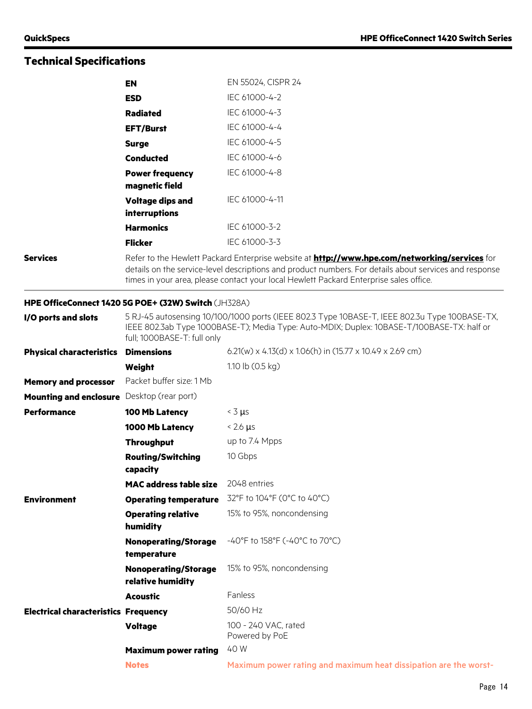|                                             | <b>EN</b>                                            | EN 55024, CISPR 24                                                                                                                                                                                                                                                                                       |
|---------------------------------------------|------------------------------------------------------|----------------------------------------------------------------------------------------------------------------------------------------------------------------------------------------------------------------------------------------------------------------------------------------------------------|
|                                             | <b>ESD</b>                                           | IEC 61000-4-2                                                                                                                                                                                                                                                                                            |
|                                             | <b>Radiated</b>                                      | IEC 61000-4-3                                                                                                                                                                                                                                                                                            |
|                                             | <b>EFT/Burst</b>                                     | IEC 61000-4-4                                                                                                                                                                                                                                                                                            |
|                                             | <b>Surge</b>                                         | IEC 61000-4-5                                                                                                                                                                                                                                                                                            |
|                                             | <b>Conducted</b>                                     | IEC 61000-4-6                                                                                                                                                                                                                                                                                            |
|                                             | <b>Power frequency</b><br>magnetic field             | IEC 61000-4-8                                                                                                                                                                                                                                                                                            |
|                                             | <b>Voltage dips and</b><br>interruptions             | IEC 61000-4-11                                                                                                                                                                                                                                                                                           |
|                                             | <b>Harmonics</b>                                     | IEC 61000-3-2                                                                                                                                                                                                                                                                                            |
|                                             | <b>Flicker</b>                                       | IEC 61000-3-3                                                                                                                                                                                                                                                                                            |
| <b>Services</b>                             |                                                      | Refer to the Hewlett Packard Enterprise website at <b>http://www.hpe.com/networking/services</b> for<br>details on the service-level descriptions and product numbers. For details about services and response<br>times in your area, please contact your local Hewlett Packard Enterprise sales office. |
|                                             | HPE OfficeConnect 1420 5G POE+ (32W) Switch (JH328A) |                                                                                                                                                                                                                                                                                                          |
| I/O ports and slots                         | full; 1000BASE-T: full only                          | 5 RJ-45 autosensing 10/100/1000 ports (IEEE 802.3 Type 10BASE-T, IEEE 802.3u Type 100BASE-TX,<br>IEEE 802.3ab Type 1000BASE-T); Media Type: Auto-MDIX; Duplex: 10BASE-T/100BASE-TX: half or                                                                                                              |
| <b>Physical characteristics</b>             | <b>Dimensions</b>                                    | 6.21(w) x 4.13(d) x 1.06(h) in (15.77 x 10.49 x 2.69 cm)                                                                                                                                                                                                                                                 |
|                                             | Weight                                               | 1.10 lb (0.5 kg)                                                                                                                                                                                                                                                                                         |
| <b>Memory and processor</b>                 | Packet buffer size: 1 Mb                             |                                                                                                                                                                                                                                                                                                          |
| <b>Mounting and enclosure</b>               | Desktop (rear port)                                  |                                                                                                                                                                                                                                                                                                          |
| <b>Performance</b>                          | 100 Mb Latency                                       | $<$ 3 $\mu$ s                                                                                                                                                                                                                                                                                            |
|                                             | 1000 Mb Latency                                      | $< 2.6 \mu s$                                                                                                                                                                                                                                                                                            |
|                                             | <b>Throughput</b>                                    | up to 7.4 Mpps                                                                                                                                                                                                                                                                                           |
|                                             | <b>Routing/Switching</b><br>capacity                 | 10 Gbps                                                                                                                                                                                                                                                                                                  |
|                                             | <b>MAC address table size</b>                        | 2048 entries                                                                                                                                                                                                                                                                                             |
| <b>Environment</b>                          | <b>Operating temperature</b>                         | 32°F to 104°F (0°C to 40°C)                                                                                                                                                                                                                                                                              |
|                                             | <b>Operating relative</b><br>humidity                | 15% to 95%, noncondensing                                                                                                                                                                                                                                                                                |
|                                             | <b>Nonoperating/Storage</b><br>temperature           | -40°F to 158°F (-40°C to 70°C)                                                                                                                                                                                                                                                                           |
|                                             | <b>Nonoperating/Storage</b><br>relative humidity     | 15% to 95%, noncondensing                                                                                                                                                                                                                                                                                |
|                                             | <b>Acoustic</b>                                      | Fanless                                                                                                                                                                                                                                                                                                  |
| <b>Electrical characteristics Frequency</b> |                                                      | 50/60 Hz                                                                                                                                                                                                                                                                                                 |
|                                             | <b>Voltage</b>                                       | 100 - 240 VAC, rated<br>Powered by PoE                                                                                                                                                                                                                                                                   |
|                                             | <b>Maximum power rating</b>                          | 40 W                                                                                                                                                                                                                                                                                                     |
|                                             | <b>Notes</b>                                         | Maximum power rating and maximum heat dissipation are the worst-                                                                                                                                                                                                                                         |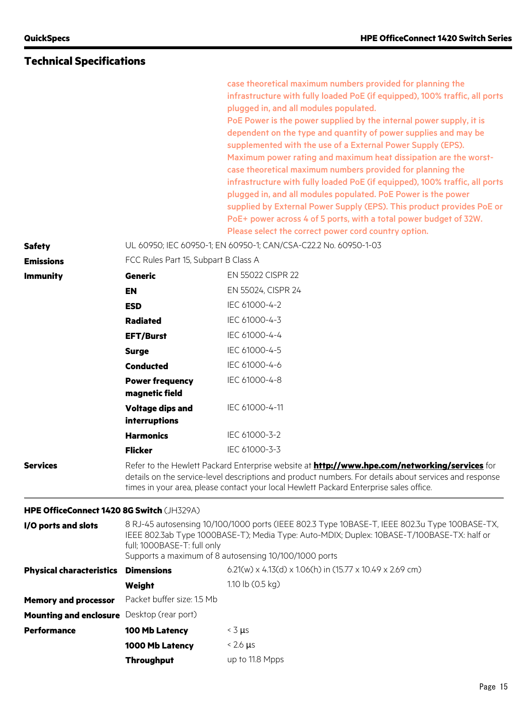|                                           |                                                                                                                                                                                                                                                                                                          | case theoretical maximum numbers provided for planning the<br>infrastructure with fully loaded PoE (if equipped), 100% traffic, all ports<br>plugged in, and all modules populated.<br>PoE Power is the power supplied by the internal power supply, it is<br>dependent on the type and quantity of power supplies and may be<br>supplemented with the use of a External Power Supply (EPS).<br>Maximum power rating and maximum heat dissipation are the worst-<br>case theoretical maximum numbers provided for planning the<br>infrastructure with fully loaded PoE (if equipped), 100% traffic, all ports<br>plugged in, and all modules populated. PoE Power is the power<br>supplied by External Power Supply (EPS). This product provides PoE or<br>PoE+ power across 4 of 5 ports, with a total power budget of 32W.<br>Please select the correct power cord country option. |
|-------------------------------------------|----------------------------------------------------------------------------------------------------------------------------------------------------------------------------------------------------------------------------------------------------------------------------------------------------------|--------------------------------------------------------------------------------------------------------------------------------------------------------------------------------------------------------------------------------------------------------------------------------------------------------------------------------------------------------------------------------------------------------------------------------------------------------------------------------------------------------------------------------------------------------------------------------------------------------------------------------------------------------------------------------------------------------------------------------------------------------------------------------------------------------------------------------------------------------------------------------------|
| <b>Safety</b>                             |                                                                                                                                                                                                                                                                                                          | UL 60950; IEC 60950-1; EN 60950-1; CAN/CSA-C22.2 No. 60950-1-03                                                                                                                                                                                                                                                                                                                                                                                                                                                                                                                                                                                                                                                                                                                                                                                                                      |
| <b>Emissions</b>                          | FCC Rules Part 15, Subpart B Class A                                                                                                                                                                                                                                                                     | EN 55022 CISPR 22                                                                                                                                                                                                                                                                                                                                                                                                                                                                                                                                                                                                                                                                                                                                                                                                                                                                    |
| <b>Immunity</b>                           | <b>Generic</b>                                                                                                                                                                                                                                                                                           |                                                                                                                                                                                                                                                                                                                                                                                                                                                                                                                                                                                                                                                                                                                                                                                                                                                                                      |
|                                           | <b>EN</b>                                                                                                                                                                                                                                                                                                | EN 55024, CISPR 24<br>IEC 61000-4-2                                                                                                                                                                                                                                                                                                                                                                                                                                                                                                                                                                                                                                                                                                                                                                                                                                                  |
|                                           | <b>ESD</b>                                                                                                                                                                                                                                                                                               | IEC 61000-4-3                                                                                                                                                                                                                                                                                                                                                                                                                                                                                                                                                                                                                                                                                                                                                                                                                                                                        |
|                                           | <b>Radiated</b>                                                                                                                                                                                                                                                                                          | IEC 61000-4-4                                                                                                                                                                                                                                                                                                                                                                                                                                                                                                                                                                                                                                                                                                                                                                                                                                                                        |
|                                           | <b>EFT/Burst</b>                                                                                                                                                                                                                                                                                         | IEC 61000-4-5                                                                                                                                                                                                                                                                                                                                                                                                                                                                                                                                                                                                                                                                                                                                                                                                                                                                        |
|                                           | <b>Surge</b><br><b>Conducted</b>                                                                                                                                                                                                                                                                         | IEC 61000-4-6                                                                                                                                                                                                                                                                                                                                                                                                                                                                                                                                                                                                                                                                                                                                                                                                                                                                        |
|                                           | <b>Power frequency</b>                                                                                                                                                                                                                                                                                   | IEC 61000-4-8                                                                                                                                                                                                                                                                                                                                                                                                                                                                                                                                                                                                                                                                                                                                                                                                                                                                        |
|                                           | magnetic field                                                                                                                                                                                                                                                                                           |                                                                                                                                                                                                                                                                                                                                                                                                                                                                                                                                                                                                                                                                                                                                                                                                                                                                                      |
|                                           | <b>Voltage dips and</b><br>interruptions                                                                                                                                                                                                                                                                 | IEC 61000-4-11                                                                                                                                                                                                                                                                                                                                                                                                                                                                                                                                                                                                                                                                                                                                                                                                                                                                       |
|                                           | <b>Harmonics</b>                                                                                                                                                                                                                                                                                         | IEC 61000-3-2                                                                                                                                                                                                                                                                                                                                                                                                                                                                                                                                                                                                                                                                                                                                                                                                                                                                        |
|                                           | <b>Flicker</b>                                                                                                                                                                                                                                                                                           | IEC 61000-3-3                                                                                                                                                                                                                                                                                                                                                                                                                                                                                                                                                                                                                                                                                                                                                                                                                                                                        |
| <b>Services</b>                           | Refer to the Hewlett Packard Enterprise website at <b>http://www.hpe.com/networking/services</b> for<br>details on the service-level descriptions and product numbers. For details about services and response<br>times in your area, please contact your local Hewlett Packard Enterprise sales office. |                                                                                                                                                                                                                                                                                                                                                                                                                                                                                                                                                                                                                                                                                                                                                                                                                                                                                      |
| HPE OfficeConnect 1420 8G Switch (JH329A) |                                                                                                                                                                                                                                                                                                          |                                                                                                                                                                                                                                                                                                                                                                                                                                                                                                                                                                                                                                                                                                                                                                                                                                                                                      |
| I/O ports and slots                       | 8 RJ-45 autosensing 10/100/1000 ports (IEEE 802.3 Type 10BASE-T, IEEE 802.3u Type 100BASE-TX,<br>IEEE 802.3ab Type 1000BASE-T); Media Type: Auto-MDIX; Duplex: 10BASE-T/100BASE-TX: half or<br>full; 1000BASE-T: full only<br>Supports a maximum of 8 autosensing 10/100/1000 ports                      |                                                                                                                                                                                                                                                                                                                                                                                                                                                                                                                                                                                                                                                                                                                                                                                                                                                                                      |
| <b>Physical characteristics</b>           | <b>Dimensions</b>                                                                                                                                                                                                                                                                                        | 6.21(w) x 4.13(d) x 1.06(h) in (15.77 x 10.49 x 2.69 cm)                                                                                                                                                                                                                                                                                                                                                                                                                                                                                                                                                                                                                                                                                                                                                                                                                             |
|                                           | Weight                                                                                                                                                                                                                                                                                                   | 1.10 lb $(0.5 \text{ kg})$                                                                                                                                                                                                                                                                                                                                                                                                                                                                                                                                                                                                                                                                                                                                                                                                                                                           |
| <b>Memory and processor</b>               | Packet buffer size: 1.5 Mb                                                                                                                                                                                                                                                                               |                                                                                                                                                                                                                                                                                                                                                                                                                                                                                                                                                                                                                                                                                                                                                                                                                                                                                      |
| <b>Mounting and enclosure</b>             | Desktop (rear port)                                                                                                                                                                                                                                                                                      |                                                                                                                                                                                                                                                                                                                                                                                                                                                                                                                                                                                                                                                                                                                                                                                                                                                                                      |
| <b>Performance</b>                        | 100 Mb Latency                                                                                                                                                                                                                                                                                           | $<$ 3 $\mu$ s                                                                                                                                                                                                                                                                                                                                                                                                                                                                                                                                                                                                                                                                                                                                                                                                                                                                        |
|                                           | 1000 Mb Latency                                                                                                                                                                                                                                                                                          | $< 2.6 \mu s$                                                                                                                                                                                                                                                                                                                                                                                                                                                                                                                                                                                                                                                                                                                                                                                                                                                                        |
|                                           | <b>Throughput</b>                                                                                                                                                                                                                                                                                        | up to 11.8 Mpps                                                                                                                                                                                                                                                                                                                                                                                                                                                                                                                                                                                                                                                                                                                                                                                                                                                                      |
|                                           |                                                                                                                                                                                                                                                                                                          |                                                                                                                                                                                                                                                                                                                                                                                                                                                                                                                                                                                                                                                                                                                                                                                                                                                                                      |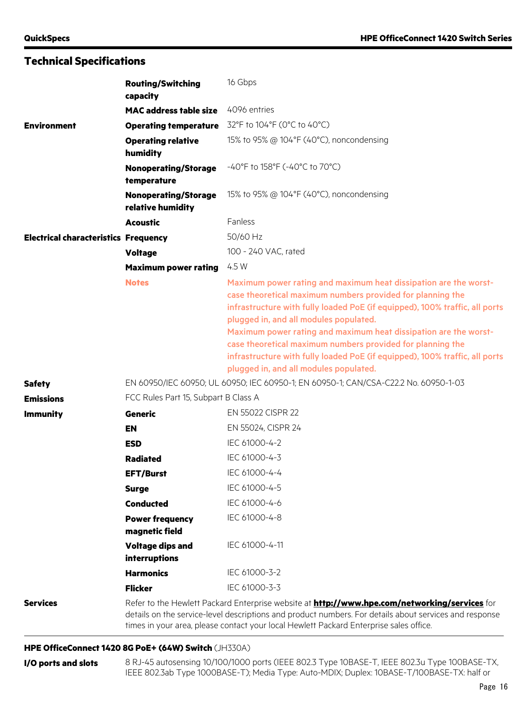|                                             | <b>Routing/Switching</b><br>capacity                                                | 16 Gbps                                                                                                                                                                                                                                                                                                                                                                                                                                                                                                            |
|---------------------------------------------|-------------------------------------------------------------------------------------|--------------------------------------------------------------------------------------------------------------------------------------------------------------------------------------------------------------------------------------------------------------------------------------------------------------------------------------------------------------------------------------------------------------------------------------------------------------------------------------------------------------------|
|                                             | <b>MAC address table size</b>                                                       | 4096 entries                                                                                                                                                                                                                                                                                                                                                                                                                                                                                                       |
| <b>Environment</b>                          | <b>Operating temperature</b>                                                        | 32°F to 104°F (0°C to 40°C)                                                                                                                                                                                                                                                                                                                                                                                                                                                                                        |
|                                             | <b>Operating relative</b><br>humidity                                               | 15% to 95% @ 104°F (40°C), noncondensing                                                                                                                                                                                                                                                                                                                                                                                                                                                                           |
|                                             | <b>Nonoperating/Storage</b><br>temperature                                          | $-40^{\circ}$ F to 158 $^{\circ}$ F (-40 $^{\circ}$ C to 70 $^{\circ}$ C)                                                                                                                                                                                                                                                                                                                                                                                                                                          |
|                                             | <b>Nonoperating/Storage</b><br>relative humidity                                    | 15% to 95% @ 104°F (40°C), noncondensing                                                                                                                                                                                                                                                                                                                                                                                                                                                                           |
|                                             | <b>Acoustic</b>                                                                     | Fanless                                                                                                                                                                                                                                                                                                                                                                                                                                                                                                            |
| <b>Electrical characteristics Frequency</b> |                                                                                     | 50/60 Hz                                                                                                                                                                                                                                                                                                                                                                                                                                                                                                           |
|                                             | <b>Voltage</b>                                                                      | 100 - 240 VAC, rated                                                                                                                                                                                                                                                                                                                                                                                                                                                                                               |
|                                             | <b>Maximum power rating</b>                                                         | 4.5 W                                                                                                                                                                                                                                                                                                                                                                                                                                                                                                              |
|                                             | <b>Notes</b>                                                                        | Maximum power rating and maximum heat dissipation are the worst-<br>case theoretical maximum numbers provided for planning the<br>infrastructure with fully loaded PoE (if equipped), 100% traffic, all ports<br>plugged in, and all modules populated.<br>Maximum power rating and maximum heat dissipation are the worst-<br>case theoretical maximum numbers provided for planning the<br>infrastructure with fully loaded PoE (if equipped), 100% traffic, all ports<br>plugged in, and all modules populated. |
| <b>Safety</b>                               | EN 60950/IEC 60950; UL 60950; IEC 60950-1; EN 60950-1; CAN/CSA-C22.2 No. 60950-1-03 |                                                                                                                                                                                                                                                                                                                                                                                                                                                                                                                    |
| <b>Emissions</b>                            | FCC Rules Part 15, Subpart B Class A                                                |                                                                                                                                                                                                                                                                                                                                                                                                                                                                                                                    |
| <b>Immunity</b>                             | <b>Generic</b>                                                                      | EN 55022 CISPR 22                                                                                                                                                                                                                                                                                                                                                                                                                                                                                                  |
|                                             | <b>EN</b>                                                                           | EN 55024, CISPR 24                                                                                                                                                                                                                                                                                                                                                                                                                                                                                                 |
|                                             | <b>ESD</b>                                                                          | IEC 61000-4-2                                                                                                                                                                                                                                                                                                                                                                                                                                                                                                      |
|                                             | <b>Radiated</b>                                                                     | IEC 61000-4-3                                                                                                                                                                                                                                                                                                                                                                                                                                                                                                      |
|                                             | <b>EFT/Burst</b>                                                                    | IEC 61000-4-4                                                                                                                                                                                                                                                                                                                                                                                                                                                                                                      |
|                                             | <b>Surge</b>                                                                        | IEC 61000-4-5                                                                                                                                                                                                                                                                                                                                                                                                                                                                                                      |
|                                             | <b>Conducted</b>                                                                    | IEC 61000-4-6                                                                                                                                                                                                                                                                                                                                                                                                                                                                                                      |
|                                             | <b>Power frequency</b><br>magnetic field                                            | IEC 61000-4-8                                                                                                                                                                                                                                                                                                                                                                                                                                                                                                      |
|                                             | <b>Voltage dips and</b><br>interruptions                                            | IEC 61000-4-11                                                                                                                                                                                                                                                                                                                                                                                                                                                                                                     |
|                                             | <b>Harmonics</b>                                                                    | IEC 61000-3-2                                                                                                                                                                                                                                                                                                                                                                                                                                                                                                      |
|                                             | <b>Flicker</b>                                                                      | IEC 61000-3-3                                                                                                                                                                                                                                                                                                                                                                                                                                                                                                      |
| <b>Services</b>                             |                                                                                     | Refer to the Hewlett Packard Enterprise website at <b>http://www.hpe.com/networking/services</b> for<br>details on the service-level descriptions and product numbers. For details about services and response<br>times in your area, please contact your local Hewlett Packard Enterprise sales office.                                                                                                                                                                                                           |

### **HPE OfficeConnect 1420 8G PoE+ (64W) Switch** (JH330A)

**I/O ports and slots** 8 RJ-45 autosensing 10/100/1000 ports (IEEE 802.3 Type 10BASE-T, IEEE 802.3u Type 100BASE-TX, IEEE 802.3ab Type 1000BASE-T); Media Type: Auto-MDIX; Duplex: 10BASE-T/100BASE-TX: half or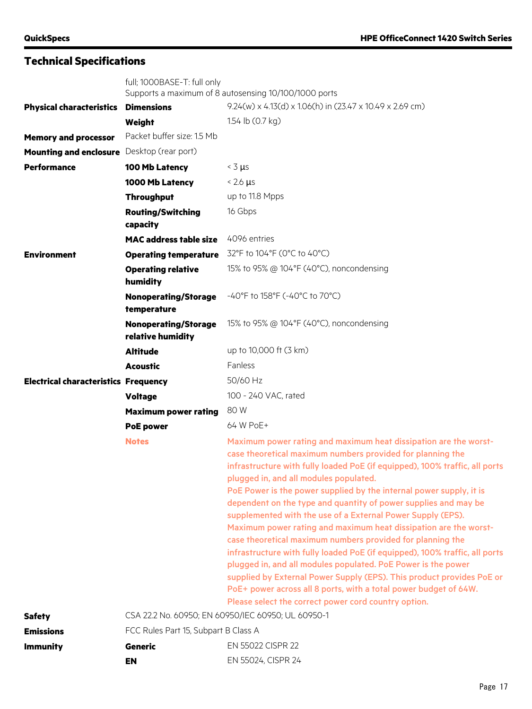|                                             | full; 1000BASE-T: full only<br>Supports a maximum of 8 autosensing 10/100/1000 ports |                                                                                                                                                                                                                                                                                                                                                                                                                                                                                                                                                                                                                                                                                                                                                                                                                                                                                                                                                         |
|---------------------------------------------|--------------------------------------------------------------------------------------|---------------------------------------------------------------------------------------------------------------------------------------------------------------------------------------------------------------------------------------------------------------------------------------------------------------------------------------------------------------------------------------------------------------------------------------------------------------------------------------------------------------------------------------------------------------------------------------------------------------------------------------------------------------------------------------------------------------------------------------------------------------------------------------------------------------------------------------------------------------------------------------------------------------------------------------------------------|
|                                             |                                                                                      | $9.24(w)$ x 4.13(d) x 1.06(h) in (23.47 x 10.49 x 2.69 cm)                                                                                                                                                                                                                                                                                                                                                                                                                                                                                                                                                                                                                                                                                                                                                                                                                                                                                              |
| <b>Physical characteristics</b>             | <b>Dimensions</b><br>Weight                                                          | 1.54 lb (0.7 kg)                                                                                                                                                                                                                                                                                                                                                                                                                                                                                                                                                                                                                                                                                                                                                                                                                                                                                                                                        |
| <b>Memory and processor</b>                 | Packet buffer size: 1.5 Mb                                                           |                                                                                                                                                                                                                                                                                                                                                                                                                                                                                                                                                                                                                                                                                                                                                                                                                                                                                                                                                         |
| Mounting and enclosure Desktop (rear port)  |                                                                                      |                                                                                                                                                                                                                                                                                                                                                                                                                                                                                                                                                                                                                                                                                                                                                                                                                                                                                                                                                         |
|                                             |                                                                                      |                                                                                                                                                                                                                                                                                                                                                                                                                                                                                                                                                                                                                                                                                                                                                                                                                                                                                                                                                         |
| <b>Performance</b>                          | 100 Mb Latency                                                                       | $<$ 3 $\mu$ s                                                                                                                                                                                                                                                                                                                                                                                                                                                                                                                                                                                                                                                                                                                                                                                                                                                                                                                                           |
|                                             | 1000 Mb Latency                                                                      | $< 2.6 \mu s$                                                                                                                                                                                                                                                                                                                                                                                                                                                                                                                                                                                                                                                                                                                                                                                                                                                                                                                                           |
|                                             | <b>Throughput</b>                                                                    | up to 11.8 Mpps                                                                                                                                                                                                                                                                                                                                                                                                                                                                                                                                                                                                                                                                                                                                                                                                                                                                                                                                         |
|                                             | <b>Routing/Switching</b><br>capacity                                                 | 16 Gbps                                                                                                                                                                                                                                                                                                                                                                                                                                                                                                                                                                                                                                                                                                                                                                                                                                                                                                                                                 |
|                                             | <b>MAC address table size</b>                                                        | 4096 entries                                                                                                                                                                                                                                                                                                                                                                                                                                                                                                                                                                                                                                                                                                                                                                                                                                                                                                                                            |
| <b>Environment</b>                          | <b>Operating temperature</b>                                                         | 32°F to 104°F (0°C to 40°C)                                                                                                                                                                                                                                                                                                                                                                                                                                                                                                                                                                                                                                                                                                                                                                                                                                                                                                                             |
|                                             | <b>Operating relative</b><br>humidity                                                | 15% to 95% @ 104°F (40°C), noncondensing                                                                                                                                                                                                                                                                                                                                                                                                                                                                                                                                                                                                                                                                                                                                                                                                                                                                                                                |
|                                             | <b>Nonoperating/Storage</b><br>temperature                                           | -40°F to 158°F (-40°C to 70°C)                                                                                                                                                                                                                                                                                                                                                                                                                                                                                                                                                                                                                                                                                                                                                                                                                                                                                                                          |
|                                             | <b>Nonoperating/Storage</b><br>relative humidity                                     | 15% to 95% @ 104°F (40°C), noncondensing                                                                                                                                                                                                                                                                                                                                                                                                                                                                                                                                                                                                                                                                                                                                                                                                                                                                                                                |
|                                             | <b>Altitude</b>                                                                      | up to 10,000 ft (3 km)                                                                                                                                                                                                                                                                                                                                                                                                                                                                                                                                                                                                                                                                                                                                                                                                                                                                                                                                  |
|                                             | Acoustic                                                                             | Fanless                                                                                                                                                                                                                                                                                                                                                                                                                                                                                                                                                                                                                                                                                                                                                                                                                                                                                                                                                 |
| <b>Electrical characteristics Frequency</b> |                                                                                      | 50/60 Hz                                                                                                                                                                                                                                                                                                                                                                                                                                                                                                                                                                                                                                                                                                                                                                                                                                                                                                                                                |
|                                             | <b>Voltage</b>                                                                       | 100 - 240 VAC, rated                                                                                                                                                                                                                                                                                                                                                                                                                                                                                                                                                                                                                                                                                                                                                                                                                                                                                                                                    |
|                                             | <b>Maximum power rating</b>                                                          | 80 W                                                                                                                                                                                                                                                                                                                                                                                                                                                                                                                                                                                                                                                                                                                                                                                                                                                                                                                                                    |
|                                             | <b>PoE power</b>                                                                     | 64 W PoE+                                                                                                                                                                                                                                                                                                                                                                                                                                                                                                                                                                                                                                                                                                                                                                                                                                                                                                                                               |
|                                             | <b>Notes</b>                                                                         | Maximum power rating and maximum heat dissipation are the worst-<br>case theoretical maximum numbers provided for planning the<br>infrastructure with fully loaded PoE (if equipped), 100% traffic, all ports<br>plugged in, and all modules populated.<br>PoE Power is the power supplied by the internal power supply, it is<br>dependent on the type and quantity of power supplies and may be<br>supplemented with the use of a External Power Supply (EPS).<br>Maximum power rating and maximum heat dissipation are the worst-<br>case theoretical maximum numbers provided for planning the<br>infrastructure with fully loaded PoE (if equipped), 100% traffic, all ports<br>plugged in, and all modules populated. PoE Power is the power<br>supplied by External Power Supply (EPS). This product provides PoE or<br>PoE+ power across all 8 ports, with a total power budget of 64W.<br>Please select the correct power cord country option. |
| <b>Safety</b>                               | CSA 22.2 No. 60950; EN 60950/IEC 60950; UL 60950-1                                   |                                                                                                                                                                                                                                                                                                                                                                                                                                                                                                                                                                                                                                                                                                                                                                                                                                                                                                                                                         |
| <b>Emissions</b>                            | FCC Rules Part 15, Subpart B Class A                                                 |                                                                                                                                                                                                                                                                                                                                                                                                                                                                                                                                                                                                                                                                                                                                                                                                                                                                                                                                                         |
| <b>Immunity</b>                             | <b>Generic</b>                                                                       | EN 55022 CISPR 22                                                                                                                                                                                                                                                                                                                                                                                                                                                                                                                                                                                                                                                                                                                                                                                                                                                                                                                                       |
|                                             | <b>EN</b>                                                                            | EN 55024, CISPR 24                                                                                                                                                                                                                                                                                                                                                                                                                                                                                                                                                                                                                                                                                                                                                                                                                                                                                                                                      |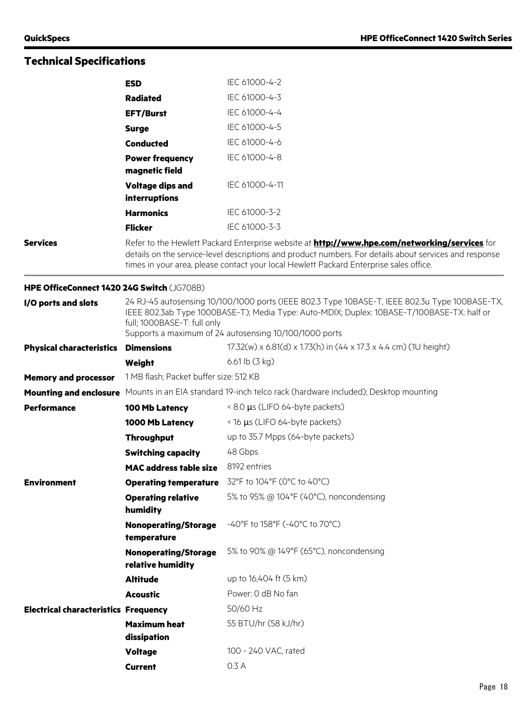|                                             | <b>ESD</b>                                                                                                                                                                                                                                                                                               | IEC 61000-4-2                                                                                                                                                                                                                                          |  |
|---------------------------------------------|----------------------------------------------------------------------------------------------------------------------------------------------------------------------------------------------------------------------------------------------------------------------------------------------------------|--------------------------------------------------------------------------------------------------------------------------------------------------------------------------------------------------------------------------------------------------------|--|
|                                             | <b>Radiated</b>                                                                                                                                                                                                                                                                                          | IEC 61000-4-3                                                                                                                                                                                                                                          |  |
|                                             | <b>EFT/Burst</b>                                                                                                                                                                                                                                                                                         | IEC 61000-4-4                                                                                                                                                                                                                                          |  |
|                                             | <b>Surge</b>                                                                                                                                                                                                                                                                                             | IEC 61000-4-5                                                                                                                                                                                                                                          |  |
|                                             | <b>Conducted</b>                                                                                                                                                                                                                                                                                         | IEC 61000-4-6                                                                                                                                                                                                                                          |  |
|                                             | <b>Power frequency</b><br>magnetic field                                                                                                                                                                                                                                                                 | IEC 61000-4-8                                                                                                                                                                                                                                          |  |
|                                             | <b>Voltage dips and</b><br>interruptions                                                                                                                                                                                                                                                                 | IEC 61000-4-11                                                                                                                                                                                                                                         |  |
|                                             | <b>Harmonics</b>                                                                                                                                                                                                                                                                                         | IEC 61000-3-2                                                                                                                                                                                                                                          |  |
|                                             | <b>Flicker</b>                                                                                                                                                                                                                                                                                           | IEC 61000-3-3                                                                                                                                                                                                                                          |  |
| <b>Services</b>                             | Refer to the Hewlett Packard Enterprise website at <b>http://www.hpe.com/networking/services</b> for<br>details on the service-level descriptions and product numbers. For details about services and response<br>times in your area, please contact your local Hewlett Packard Enterprise sales office. |                                                                                                                                                                                                                                                        |  |
| HPE OfficeConnect 1420 24G Switch (JG708B)  |                                                                                                                                                                                                                                                                                                          |                                                                                                                                                                                                                                                        |  |
| I/O ports and slots                         | full; 1000BASE-T: full only                                                                                                                                                                                                                                                                              | 24 RJ-45 autosensing 10/100/1000 ports (IEEE 802.3 Type 10BASE-T, IEEE 802.3u Type 100BASE-TX,<br>IEEE 802.3ab Type 1000BASE-T); Media Type: Auto-MDIX; Duplex: 10BASE-T/100BASE-TX: half or<br>Supports a maximum of 24 autosensing 10/100/1000 ports |  |
| <b>Physical characteristics</b>             | <b>Dimensions</b>                                                                                                                                                                                                                                                                                        | 17.32(w) x 6.81(d) x 1.73(h) in (44 x 17.3 x 4.4 cm) (1U height)                                                                                                                                                                                       |  |
|                                             | Weight                                                                                                                                                                                                                                                                                                   | 6.61 lb (3 kg)                                                                                                                                                                                                                                         |  |
| <b>Memory and processor</b>                 | 1 MB flash; Packet buffer size: 512 KB                                                                                                                                                                                                                                                                   |                                                                                                                                                                                                                                                        |  |
| <b>Mounting and enclosure</b>               |                                                                                                                                                                                                                                                                                                          | Mounts in an EIA standard 19-inch telco rack (hardware included); Desktop mounting                                                                                                                                                                     |  |
| <b>Performance</b>                          | 100 Mb Latency                                                                                                                                                                                                                                                                                           | < 8.0 µs (LIFO 64-byte packets)                                                                                                                                                                                                                        |  |
|                                             | 1000 Mb Latency                                                                                                                                                                                                                                                                                          | < 16 µs (LIFO 64-byte packets)                                                                                                                                                                                                                         |  |
|                                             | <b>Throughput</b>                                                                                                                                                                                                                                                                                        | up to 35.7 Mpps (64-byte packets)                                                                                                                                                                                                                      |  |
|                                             | <b>Switching capacity</b>                                                                                                                                                                                                                                                                                | 48 Gbps                                                                                                                                                                                                                                                |  |
|                                             | <b>MAC address table size</b>                                                                                                                                                                                                                                                                            | 8192 entries                                                                                                                                                                                                                                           |  |
| <b>Environment</b>                          | <b>Operating temperature</b>                                                                                                                                                                                                                                                                             | 32°F to 104°F (0°C to 40°C)                                                                                                                                                                                                                            |  |
|                                             | <b>Operating relative</b><br>humidity                                                                                                                                                                                                                                                                    | 5% to 95% @ 104°F (40°C), noncondensing                                                                                                                                                                                                                |  |
|                                             | <b>Nonoperating/Storage</b><br>temperature                                                                                                                                                                                                                                                               | -40°F to 158°F (-40°C to 70°C)                                                                                                                                                                                                                         |  |
|                                             | <b>Nonoperating/Storage</b><br>relative humidity                                                                                                                                                                                                                                                         | 5% to 90% @ 149°F (65°C), noncondensing                                                                                                                                                                                                                |  |
|                                             | <b>Altitude</b>                                                                                                                                                                                                                                                                                          | up to 16,404 ft (5 km)                                                                                                                                                                                                                                 |  |
|                                             | <b>Acoustic</b>                                                                                                                                                                                                                                                                                          | Power: 0 dB No fan                                                                                                                                                                                                                                     |  |
| <b>Electrical characteristics Frequency</b> |                                                                                                                                                                                                                                                                                                          | 50/60 Hz                                                                                                                                                                                                                                               |  |
|                                             | <b>Maximum heat</b><br>dissipation                                                                                                                                                                                                                                                                       | 55 BTU/hr (58 kJ/hr)                                                                                                                                                                                                                                   |  |
|                                             | <b>Voltage</b>                                                                                                                                                                                                                                                                                           | 100 - 240 VAC, rated                                                                                                                                                                                                                                   |  |
|                                             | <b>Current</b>                                                                                                                                                                                                                                                                                           | 0.3 A                                                                                                                                                                                                                                                  |  |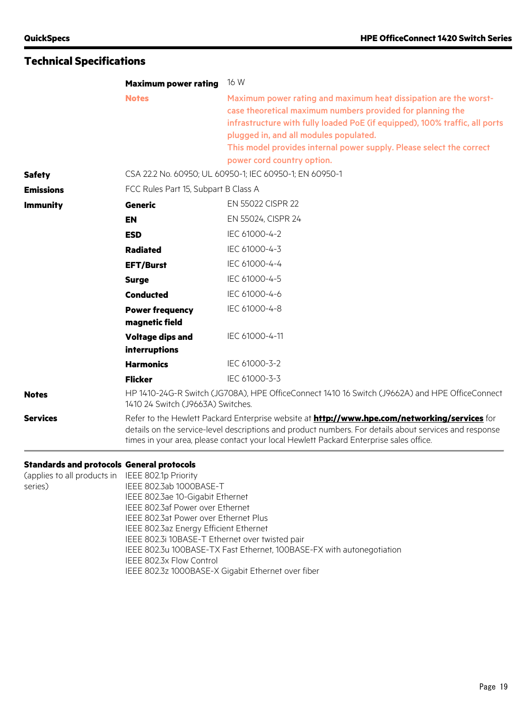|                                                             | <b>Maximum power rating</b>                                                                                                         | 16 W                                                                                                                                                                                                                                                                                                                                                          |
|-------------------------------------------------------------|-------------------------------------------------------------------------------------------------------------------------------------|---------------------------------------------------------------------------------------------------------------------------------------------------------------------------------------------------------------------------------------------------------------------------------------------------------------------------------------------------------------|
|                                                             | <b>Notes</b>                                                                                                                        | Maximum power rating and maximum heat dissipation are the worst-<br>case theoretical maximum numbers provided for planning the<br>infrastructure with fully loaded PoE (if equipped), 100% traffic, all ports<br>plugged in, and all modules populated.<br>This model provides internal power supply. Please select the correct<br>power cord country option. |
| <b>Safety</b>                                               |                                                                                                                                     | CSA 22.2 No. 60950; UL 60950-1; IEC 60950-1; EN 60950-1                                                                                                                                                                                                                                                                                                       |
| <b>Emissions</b>                                            | FCC Rules Part 15, Subpart B Class A                                                                                                |                                                                                                                                                                                                                                                                                                                                                               |
| <b>Immunity</b>                                             | <b>Generic</b>                                                                                                                      | EN 55022 CISPR 22                                                                                                                                                                                                                                                                                                                                             |
|                                                             | <b>EN</b>                                                                                                                           | EN 55024, CISPR 24                                                                                                                                                                                                                                                                                                                                            |
|                                                             | <b>ESD</b>                                                                                                                          | IEC 61000-4-2                                                                                                                                                                                                                                                                                                                                                 |
|                                                             | <b>Radiated</b>                                                                                                                     | IEC 61000-4-3                                                                                                                                                                                                                                                                                                                                                 |
|                                                             | <b>EFT/Burst</b>                                                                                                                    | IEC 61000-4-4                                                                                                                                                                                                                                                                                                                                                 |
|                                                             | <b>Surge</b>                                                                                                                        | IEC 61000-4-5                                                                                                                                                                                                                                                                                                                                                 |
|                                                             | <b>Conducted</b>                                                                                                                    | IEC 61000-4-6                                                                                                                                                                                                                                                                                                                                                 |
|                                                             | <b>Power frequency</b><br>magnetic field                                                                                            | IEC 61000-4-8                                                                                                                                                                                                                                                                                                                                                 |
|                                                             | <b>Voltage dips and</b><br><b>interruptions</b>                                                                                     | IEC 61000-4-11                                                                                                                                                                                                                                                                                                                                                |
|                                                             | <b>Harmonics</b>                                                                                                                    | IEC 61000-3-2                                                                                                                                                                                                                                                                                                                                                 |
|                                                             | <b>Flicker</b>                                                                                                                      | IEC 61000-3-3                                                                                                                                                                                                                                                                                                                                                 |
| <b>Notes</b>                                                | HP 1410-24G-R Switch (JG708A), HPE OfficeConnect 1410 16 Switch (J9662A) and HPE OfficeConnect<br>1410 24 Switch (J9663A) Switches. |                                                                                                                                                                                                                                                                                                                                                               |
| <b>Services</b>                                             |                                                                                                                                     | Refer to the Hewlett Packard Enterprise website at <b>http://www.hpe.com/networking/services</b> for<br>details on the service-level descriptions and product numbers. For details about services and response<br>times in your area, please contact your local Hewlett Packard Enterprise sales office.                                                      |
| <b>Standards and protocols General protocols</b>            |                                                                                                                                     |                                                                                                                                                                                                                                                                                                                                                               |
| (applies to all products in IEEE 802.1p Priority<br>series) | IEEE 802.3ab 1000BASE-T                                                                                                             |                                                                                                                                                                                                                                                                                                                                                               |

IEEE 802.3ab 1000BASE-T IEEE 802.3ae 10-Gigabit Ethernet IEEE 802.3af Power over Ethernet IEEE 802.3at Power over Ethernet Plus IEEE 802.3az Energy Efficient Ethernet IEEE 802.3i 10BASE-T Ethernet over twisted pair IEEE 802.3u 100BASE-TX Fast Ethernet, 100BASE-FX with autonegotiation IEEE 802.3x Flow Control IEEE 802.3z 1000BASE-X Gigabit Ethernet over fiber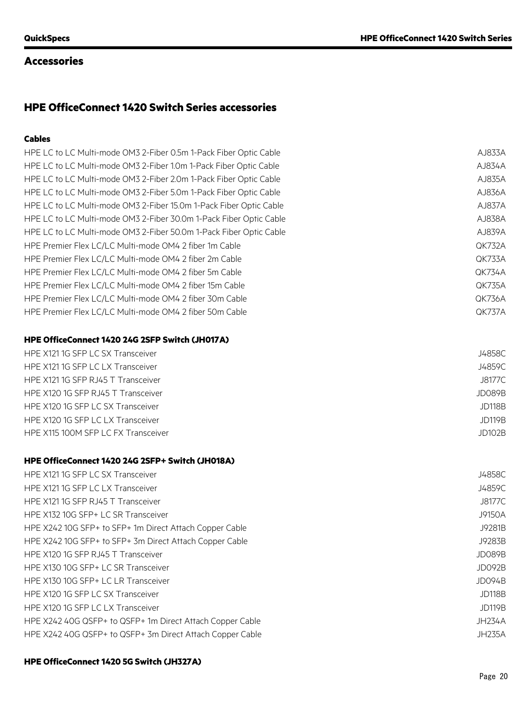### **Accessories**

# **HPE OfficeConnect 1420 Switch Series accessories**

### **Cables**

| HPE LC to LC Multi-mode OM3 2-Fiber 0.5m 1-Pack Fiber Optic Cable  | AJ833A        |
|--------------------------------------------------------------------|---------------|
| HPE LC to LC Multi-mode OM3 2-Fiber 1.0m 1-Pack Fiber Optic Cable  | AJ834A        |
| HPE LC to LC Multi-mode OM3 2-Fiber 2.0m 1-Pack Fiber Optic Cable  | AJ835A        |
| HPE LC to LC Multi-mode OM3 2-Fiber 5.0m 1-Pack Fiber Optic Cable  | AJ836A        |
| HPE LC to LC Multi-mode OM3 2-Fiber 15.0m 1-Pack Fiber Optic Cable | AJ837A        |
| HPE LC to LC Multi-mode OM3 2-Fiber 30.0m 1-Pack Fiber Optic Cable | AJ838A        |
| HPE LC to LC Multi-mode OM3 2-Fiber 50.0m 1-Pack Fiber Optic Cable | AJ839A        |
| HPE Premier Flex LC/LC Multi-mode OM4 2 fiber 1m Cable             | <b>QK732A</b> |
| HPE Premier Flex LC/LC Multi-mode OM4 2 fiber 2m Cable             | <b>QK733A</b> |
| HPE Premier Flex LC/LC Multi-mode OM4 2 fiber 5m Cable             | QK734A        |
| HPE Premier Flex LC/LC Multi-mode OM4 2 fiber 15m Cable            | <b>QK735A</b> |
| HPE Premier Flex LC/LC Multi-mode OM4 2 fiber 30m Cable            | <b>QK736A</b> |
| HPE Premier Flex LC/LC Multi-mode OM4 2 fiber 50m Cable            | QK737A        |
| <b>HPE OfficeConnect 1420 24G 2SFP Switch (JH017A)</b>             |               |
| HPE X121 1G SFP LC SX Transceiver                                  | J4858C        |
| HPE X121 1G SFP LC LX Transceiver                                  | J4859C        |
| HPE X121 1G SFP RJ45 T Transceiver                                 | J8177C        |
| HPE X120 1G SFP RJ45 T Transceiver                                 | <b>JD089B</b> |
| HPE X120 1G SFP LC SX Transceiver                                  | <b>JD118B</b> |

HPE X120 1G SFP LC LX Transceiver **JD119B** 

### **HPE OfficeConnect 1420 24G 2SFP+ Switch (JH018A)**

| HPE X121 1G SFP LC SX Transceiver                         | J4858C        |
|-----------------------------------------------------------|---------------|
| HPE X121 1G SFP LC LX Transceiver                         | J4859C        |
| HPE X121 1G SFP RJ45 T Transceiver                        | J8177C        |
| HPE X132 10G SFP+ LC SR Transceiver                       | J9150A        |
| HPE X242 10G SFP+ to SFP+ 1m Direct Attach Copper Cable   | J9281B        |
| HPE X242 10G SFP+ to SFP+ 3m Direct Attach Copper Cable   | J9283B        |
| HPE X120 1G SFP RJ45 T Transceiver                        | JD089B        |
| HPE X130 10G SFP+ LC SR Transceiver                       | JD092B        |
| HPE X130 10G SFP+ LC LR Transceiver                       | JD094B        |
| HPE X120 1G SFP LC SX Transceiver                         | <b>JD118B</b> |
| HPE X120 1G SFP LC LX Transceiver                         | <b>JD119B</b> |
| HPE X242 40G QSFP+ to QSFP+ 1m Direct Attach Copper Cable | JH234A        |
| HPE X242 40G QSFP+ to QSFP+ 3m Direct Attach Copper Cable | JH235A        |
|                                                           |               |

HPE X115 100M SFP LC FX Transceiver JD102B

### **HPE OfficeConnect 1420 5G Switch (JH327A)**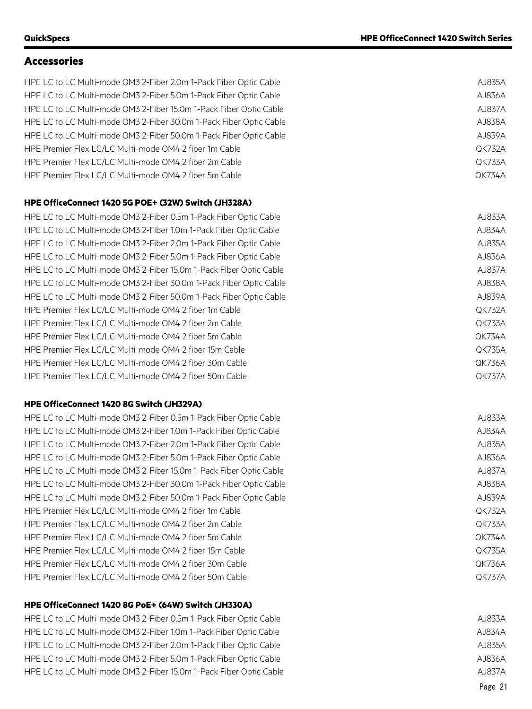### **Accessories**

HPE LC to LC Multi-mode OM3 2-Fiber 2.0m 1-Pack Fiber Optic Cable AJ835A HPE LC to LC Multi-mode OM3 2-Fiber 5.0m 1-Pack Fiber Optic Cable AJ836A HPE LC to LC Multi-mode OM3 2-Fiber 15.0m 1-Pack Fiber Optic Cable AJ837A HPE LC to LC Multi-mode OM3 2-Fiber 30.0m 1-Pack Fiber Optic Cable AJ838A HPE LC to LC Multi-mode OM3 2-Fiber 50.0m 1-Pack Fiber Optic Cable AJ839A HPE Premier Flex LC/LC Multi-mode OM4 2 fiber 1m Cable QK732A HPE Premier Flex LC/LC Multi-mode OM4 2 fiber 2m Cable QK733A HPE Premier Flex LC/LC Multi-mode OM4 2 fiber 5m Cable QK734A

#### **HPE OfficeConnect 1420 5G POE+ (32W) Switch (JH328A)**

HPE LC to LC Multi-mode OM3 2-Fiber 0.5m 1-Pack Fiber Optic Cable AJ833A HPE LC to LC Multi-mode OM3 2-Fiber 1.0m 1-Pack Fiber Optic Cable AJ834A HPE LC to LC Multi-mode OM3 2-Fiber 2.0m 1-Pack Fiber Optic Cable AJ835A HPE LC to LC Multi-mode OM3 2-Fiber 5.0m 1-Pack Fiber Optic Cable AJ836A HPE LC to LC Multi-mode OM3 2-Fiber 15.0m 1-Pack Fiber Optic Cable AJ837A HPE LC to LC Multi-mode OM3 2-Fiber 30.0m 1-Pack Fiber Optic Cable AJ838A HPE LC to LC Multi-mode OM3 2-Fiber 50.0m 1-Pack Fiber Optic Cable AJ839A HPE Premier Flex LC/LC Multi-mode OM4 2 fiber 1m Cable QK732A HPE Premier Flex LC/LC Multi-mode OM4 2 fiber 2m Cable QK733A HPE Premier Flex LC/LC Multi-mode OM4 2 fiber 5m Cable QK734A HPE Premier Flex LC/LC Multi-mode OM4 2 fiber 15m Cable QK735A HPE Premier Flex LC/LC Multi-mode OM4 2 fiber 30m Cable QK736A HPE Premier Flex LC/LC Multi-mode OM4 2 fiber 50m Cable QK737A

### **HPE OfficeConnect 1420 8G Switch (JH329A)**

HPE LC to LC Multi-mode OM3 2-Fiber 0.5m 1-Pack Fiber Optic Cable AJ833A HPE LC to LC Multi-mode OM3 2-Fiber 1.0m 1-Pack Fiber Optic Cable AJ834A AJ834A HPE LC to LC Multi-mode OM3 2-Fiber 2.0m 1-Pack Fiber Optic Cable AJ835A HPE LC to LC Multi-mode OM3 2-Fiber 5.0m 1-Pack Fiber Optic Cable AJ836A HPE LC to LC Multi-mode OM3 2-Fiber 15.0m 1-Pack Fiber Optic Cable AJ837A HPE LC to LC Multi-mode OM3 2-Fiber 30.0m 1-Pack Fiber Optic Cable AJ838A HPE LC to LC Multi-mode OM3 2-Fiber 50.0m 1-Pack Fiber Optic Cable AJ839A HPE Premier Flex LC/LC Multi-mode OM4 2 fiber 1m Cable QK732A HPE Premier Flex LC/LC Multi-mode OM4 2 fiber 2m Cable QK733A HPE Premier Flex LC/LC Multi-mode OM4 2 fiber 5m Cable QK734A HPE Premier Flex LC/LC Multi-mode OM4 2 fiber 15m Cable QK735A HPE Premier Flex LC/LC Multi-mode OM4 2 fiber 30m Cable QK736A and Cable QK736A HPE Premier Flex LC/LC Multi-mode OM4 2 fiber 50m Cable QK737A

### **HPE OfficeConnect 1420 8G PoE+ (64W) Switch (JH330A)**

HPE LC to LC Multi-mode OM3 2-Fiber 0.5m 1-Pack Fiber Optic Cable AJ833A HPE LC to LC Multi-mode OM3 2-Fiber 1.0m 1-Pack Fiber Optic Cable AJ834A AJ834A HPE LC to LC Multi-mode OM3 2-Fiber 2.0m 1-Pack Fiber Optic Cable AJ835A HPE LC to LC Multi-mode OM3 2-Fiber 5.0m 1-Pack Fiber Optic Cable AJ836A HPE LC to LC Multi-mode OM3 2-Fiber 15.0m 1-Pack Fiber Optic Cable AJ837A

| QK735       |
|-------------|
| QK736       |
| QK737       |
|             |
|             |
| AJ833       |
| AJ834       |
| AJ835       |
| $A$ J83 $6$ |
| AJ837       |
| AJ838       |
| AJ839       |
| QK732       |
| QK733       |
| QK734       |
| QK735       |
| QK736       |
| QK737       |

Page 21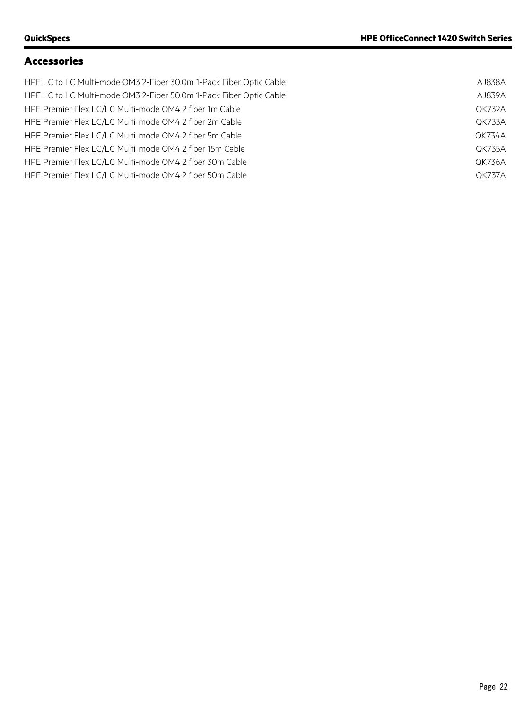# **Accessories**

| HPE LC to LC Multi-mode OM3 2-Fiber 30.0m 1-Pack Fiber Optic Cable | AJ838A        |
|--------------------------------------------------------------------|---------------|
| HPE LC to LC Multi-mode OM3 2-Fiber 50.0m 1-Pack Fiber Optic Cable | AJ839A        |
| HPE Premier Flex LC/LC Multi-mode OM4 2 fiber 1m Cable             | <b>QK732A</b> |
| HPE Premier Flex LC/LC Multi-mode OM4 2 fiber 2m Cable             | <b>OK733A</b> |
| HPE Premier Flex LC/LC Multi-mode OM4 2 fiber 5m Cable             | <b>OK734A</b> |
| HPE Premier Flex LC/LC Multi-mode OM4 2 fiber 15m Cable            | <b>QK735A</b> |
| HPE Premier Flex LC/LC Multi-mode OM4 2 fiber 30m Cable            | <b>QK736A</b> |
| HPE Premier Flex LC/LC Multi-mode OM4 2 fiber 50m Cable            | OK737A        |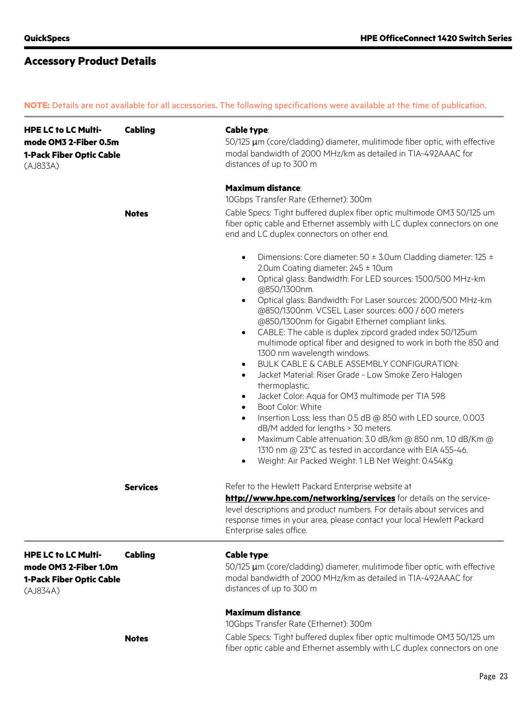**NOTE:** Details are not available for all accessories. The following specifications were available at the time of publication.

| <b>HPE LC to LC Multi-</b><br>mode OM3 2-Fiber 0.5m<br>1-Pack Fiber Optic Cable<br>(AJ833A) | <b>Cabling</b>  | <b>Cable type:</b><br>50/125 µm (core/cladding) diameter, mulitimode fiber optic, with effective<br>modal bandwidth of 2000 MHz/km as detailed in TIA-492AAAC for<br>distances of up to 300 m                                                                                                                                                                                                                                                                                                                                                                                                                                                                                                                                                                                                                                                                                                                                                                                                                                                                                                                                                                              |  |  |
|---------------------------------------------------------------------------------------------|-----------------|----------------------------------------------------------------------------------------------------------------------------------------------------------------------------------------------------------------------------------------------------------------------------------------------------------------------------------------------------------------------------------------------------------------------------------------------------------------------------------------------------------------------------------------------------------------------------------------------------------------------------------------------------------------------------------------------------------------------------------------------------------------------------------------------------------------------------------------------------------------------------------------------------------------------------------------------------------------------------------------------------------------------------------------------------------------------------------------------------------------------------------------------------------------------------|--|--|
|                                                                                             |                 | <b>Maximum distance:</b>                                                                                                                                                                                                                                                                                                                                                                                                                                                                                                                                                                                                                                                                                                                                                                                                                                                                                                                                                                                                                                                                                                                                                   |  |  |
|                                                                                             |                 | 10Gbps Transfer Rate (Ethernet): 300m                                                                                                                                                                                                                                                                                                                                                                                                                                                                                                                                                                                                                                                                                                                                                                                                                                                                                                                                                                                                                                                                                                                                      |  |  |
|                                                                                             | <b>Notes</b>    | Cable Specs: Tight buffered duplex fiber optic multimode OM3 50/125 um<br>fiber optic cable and Ethernet assembly with LC duplex connectors on one<br>end and LC duplex connectors on other end.                                                                                                                                                                                                                                                                                                                                                                                                                                                                                                                                                                                                                                                                                                                                                                                                                                                                                                                                                                           |  |  |
|                                                                                             |                 | Dimensions: Core diameter: 50 ± 3.0um Cladding diameter: 125 ±<br>$\bullet$<br>2.0um Coating diameter: $245 \pm 10$ um<br>Optical glass: Bandwidth: For LED sources: 1500/500 MHz-km<br>$\bullet$<br>@850/1300nm.<br>Optical glass: Bandwidth: For Laser sources: 2000/500 MHz-km<br>$\bullet$<br>@850/1300nm. VCSEL Laser sources: 600 / 600 meters<br>@850/1300nm for Gigabit Ethernet compliant links.<br>CABLE: The cable is duplex zipcord graded index 50/125um<br>$\bullet$<br>multimode optical fiber and designed to work in both the 850 and<br>1300 nm wavelength windows.<br>BULK CABLE & CABLE ASSEMBLY CONFIGURATION:<br>$\bullet$<br>Jacket Material: Riser Grade - Low Smoke Zero Halogen<br>$\bullet$<br>thermoplastic.<br>Jacket Color: Aqua for OM3 multimode per TIA 598<br>$\bullet$<br>Boot Color: White<br>$\bullet$<br>Insertion Loss: less than 0.5 dB @ 850 with LED source, 0.003<br>$\bullet$<br>dB/M added for lengths > 30 meters.<br>Maximum Cable attenuation: 3.0 dB/km @ 850 nm, 1.0 dB/Km @<br>$\bullet$<br>1310 nm @ 23°C as tested in accordance with EIA 455-46.<br>Weight: Air Packed Weight: 1 LB Net Weight: 0.454Kg<br>$\bullet$ |  |  |
|                                                                                             | <b>Services</b> | Refer to the Hewlett Packard Enterprise website at<br>http://www.hpe.com/networking/services for details on the service-<br>level descriptions and product numbers. For details about services and<br>response times in your area, please contact your local Hewlett Packard<br>Enterprise sales office.                                                                                                                                                                                                                                                                                                                                                                                                                                                                                                                                                                                                                                                                                                                                                                                                                                                                   |  |  |
| <b>HPE LC to LC Multi-</b><br>mode OM3 2-Fiber 1.0m<br>1-Pack Fiber Optic Cable<br>(AJ834A) | <b>Cabling</b>  | Cable type:<br>50/125 µm (core/cladding) diameter, mulitimode fiber optic, with effective<br>modal bandwidth of 2000 MHz/km as detailed in TIA-492AAAC for<br>distances of up to 300 m                                                                                                                                                                                                                                                                                                                                                                                                                                                                                                                                                                                                                                                                                                                                                                                                                                                                                                                                                                                     |  |  |
|                                                                                             |                 | <b>Maximum distance:</b>                                                                                                                                                                                                                                                                                                                                                                                                                                                                                                                                                                                                                                                                                                                                                                                                                                                                                                                                                                                                                                                                                                                                                   |  |  |
|                                                                                             |                 | 10Gbps Transfer Rate (Ethernet): 300m                                                                                                                                                                                                                                                                                                                                                                                                                                                                                                                                                                                                                                                                                                                                                                                                                                                                                                                                                                                                                                                                                                                                      |  |  |
|                                                                                             | <b>Notes</b>    | Cable Specs: Tight buffered duplex fiber optic multimode OM3 50/125 um<br>fiber optic cable and Ethernet assembly with LC duplex connectors on one                                                                                                                                                                                                                                                                                                                                                                                                                                                                                                                                                                                                                                                                                                                                                                                                                                                                                                                                                                                                                         |  |  |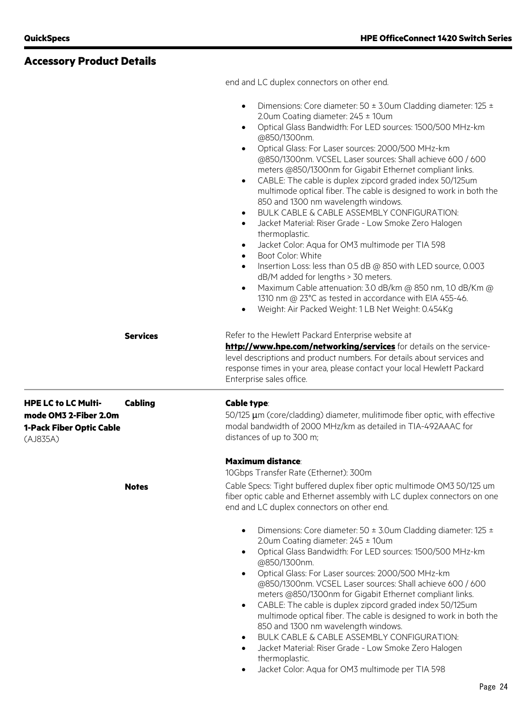# **Accessory Product Details**

end and LC duplex connectors on other end.

|                                                                                             |                 | Dimensions: Core diameter: $50 \pm 3.0$ um Cladding diameter: 125 $\pm$<br>2.0um Coating diameter: 245 ± 10um<br>Optical Glass Bandwidth: For LED sources: 1500/500 MHz-km<br>$\bullet$<br>@850/1300nm.<br>Optical Glass: For Laser sources: 2000/500 MHz-km<br>@850/1300nm. VCSEL Laser sources: Shall achieve 600 / 600<br>meters @850/1300nm for Gigabit Ethernet compliant links.<br>CABLE: The cable is duplex zipcord graded index 50/125um<br>$\bullet$<br>multimode optical fiber. The cable is designed to work in both the<br>850 and 1300 nm wavelength windows.<br>BULK CABLE & CABLE ASSEMBLY CONFIGURATION:<br>$\bullet$<br>Jacket Material: Riser Grade - Low Smoke Zero Halogen<br>$\bullet$<br>thermoplastic.<br>Jacket Color: Aqua for OM3 multimode per TIA 598<br>Boot Color: White<br>$\bullet$<br>Insertion Loss: less than 0.5 dB @ 850 with LED source, 0.003<br>dB/M added for lengths > 30 meters.<br>Maximum Cable attenuation: 3.0 dB/km @ 850 nm, 1.0 dB/Km @<br>1310 nm @ 23°C as tested in accordance with EIA 455-46.<br>Weight: Air Packed Weight: 1 LB Net Weight: 0.454Kg<br>$\bullet$ |
|---------------------------------------------------------------------------------------------|-----------------|---------------------------------------------------------------------------------------------------------------------------------------------------------------------------------------------------------------------------------------------------------------------------------------------------------------------------------------------------------------------------------------------------------------------------------------------------------------------------------------------------------------------------------------------------------------------------------------------------------------------------------------------------------------------------------------------------------------------------------------------------------------------------------------------------------------------------------------------------------------------------------------------------------------------------------------------------------------------------------------------------------------------------------------------------------------------------------------------------------------------------|
|                                                                                             | <b>Services</b> | Refer to the Hewlett Packard Enterprise website at<br>http://www.hpe.com/networking/services for details on the service-<br>level descriptions and product numbers. For details about services and<br>response times in your area, please contact your local Hewlett Packard<br>Enterprise sales office.                                                                                                                                                                                                                                                                                                                                                                                                                                                                                                                                                                                                                                                                                                                                                                                                                  |
| <b>HPE LC to LC Multi-</b><br>mode OM3 2-Fiber 2.0m<br>1-Pack Fiber Optic Cable<br>(AJ835A) | <b>Cabling</b>  | <b>Cable type:</b><br>50/125 µm (core/cladding) diameter, mulitimode fiber optic, with effective<br>modal bandwidth of 2000 MHz/km as detailed in TIA-492AAAC for<br>distances of up to 300 m;                                                                                                                                                                                                                                                                                                                                                                                                                                                                                                                                                                                                                                                                                                                                                                                                                                                                                                                            |
|                                                                                             | <b>Notes</b>    | <b>Maximum distance:</b><br>10Gbps Transfer Rate (Ethernet): 300m<br>Cable Specs: Tight buffered duplex fiber optic multimode OM3 50/125 um<br>fiber optic cable and Ethernet assembly with LC duplex connectors on one<br>end and LC duplex connectors on other end.                                                                                                                                                                                                                                                                                                                                                                                                                                                                                                                                                                                                                                                                                                                                                                                                                                                     |
|                                                                                             |                 | Dimensions: Core diameter: 50 ± 3.0um Cladding diameter: 125 ±<br>2.0um Coating diameter: $245 \pm 10$ um<br>Optical Glass Bandwidth: For LED sources: 1500/500 MHz-km<br>$\bullet$<br>@850/1300nm.<br>Optical Glass: For Laser sources: 2000/500 MHz-km<br>@850/1300nm. VCSEL Laser sources: Shall achieve 600 / 600<br>meters @850/1300nm for Gigabit Ethernet compliant links.<br>CABLE: The cable is duplex zipcord graded index 50/125um<br>$\bullet$<br>multimode optical fiber. The cable is designed to work in both the<br>850 and 1300 nm wavelength windows.<br>BULK CABLE & CABLE ASSEMBLY CONFIGURATION:<br>Jacket Material: Riser Grade - Low Smoke Zero Halogen<br>thermoplastic.<br>Jacket Color: Aqua for OM3 multimode per TIA 598                                                                                                                                                                                                                                                                                                                                                                      |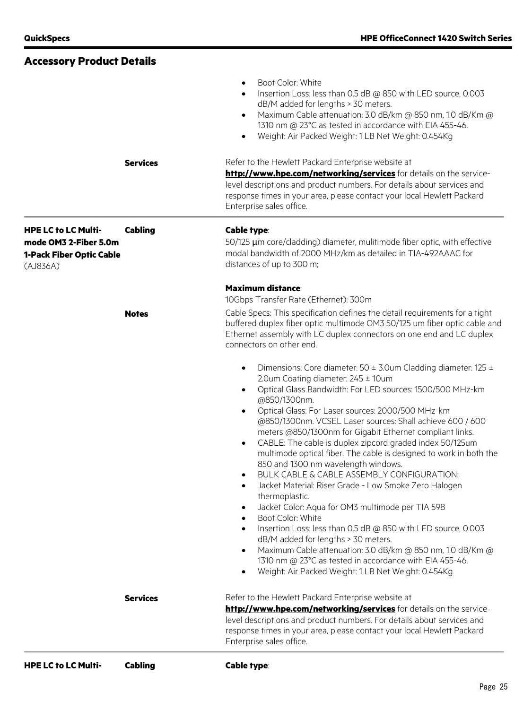| <b>Accessory Product Details</b>                                                                   |                 |                                                                                                                                                                                                                                                                                                                                                                                                                                                                                                                                                                                                                                                                                                                                                                                                                                                                                                                                                                                                                                                                                                                                                                                            |
|----------------------------------------------------------------------------------------------------|-----------------|--------------------------------------------------------------------------------------------------------------------------------------------------------------------------------------------------------------------------------------------------------------------------------------------------------------------------------------------------------------------------------------------------------------------------------------------------------------------------------------------------------------------------------------------------------------------------------------------------------------------------------------------------------------------------------------------------------------------------------------------------------------------------------------------------------------------------------------------------------------------------------------------------------------------------------------------------------------------------------------------------------------------------------------------------------------------------------------------------------------------------------------------------------------------------------------------|
|                                                                                                    |                 | Boot Color: White<br>$\bullet$<br>Insertion Loss: less than 0.5 dB @ 850 with LED source, 0.003<br>$\bullet$<br>dB/M added for lengths > 30 meters.<br>Maximum Cable attenuation: 3.0 dB/km @ 850 nm, 1.0 dB/Km @<br>$\bullet$<br>1310 nm @ 23°C as tested in accordance with EIA 455-46.<br>Weight: Air Packed Weight: 1 LB Net Weight: 0.454Kg<br>$\bullet$                                                                                                                                                                                                                                                                                                                                                                                                                                                                                                                                                                                                                                                                                                                                                                                                                              |
|                                                                                                    | <b>Services</b> | Refer to the Hewlett Packard Enterprise website at<br>http://www.hpe.com/networking/services for details on the service-<br>level descriptions and product numbers. For details about services and<br>response times in your area, please contact your local Hewlett Packard<br>Enterprise sales office.                                                                                                                                                                                                                                                                                                                                                                                                                                                                                                                                                                                                                                                                                                                                                                                                                                                                                   |
| <b>HPE LC to LC Multi-</b><br>mode OM3 2-Fiber 5.0m<br><b>1-Pack Fiber Optic Cable</b><br>(AJ836A) | <b>Cabling</b>  | <b>Cable type:</b><br>50/125 µm core/cladding) diameter, mulitimode fiber optic, with effective<br>modal bandwidth of 2000 MHz/km as detailed in TIA-492AAAC for<br>distances of up to 300 m;                                                                                                                                                                                                                                                                                                                                                                                                                                                                                                                                                                                                                                                                                                                                                                                                                                                                                                                                                                                              |
|                                                                                                    | <b>Notes</b>    | <b>Maximum distance:</b><br>10Gbps Transfer Rate (Ethernet): 300m<br>Cable Specs: This specification defines the detail requirements for a tight<br>buffered duplex fiber optic multimode OM3 50/125 um fiber optic cable and<br>Ethernet assembly with LC duplex connectors on one end and LC duplex<br>connectors on other end.                                                                                                                                                                                                                                                                                                                                                                                                                                                                                                                                                                                                                                                                                                                                                                                                                                                          |
|                                                                                                    |                 | Dimensions: Core diameter: $50 \pm 3.0$ um Cladding diameter: 125 $\pm$<br>$\bullet$<br>2.0um Coating diameter: 245 ± 10um<br>Optical Glass Bandwidth: For LED sources: 1500/500 MHz-km<br>$\bullet$<br>@850/1300nm.<br>Optical Glass: For Laser sources: 2000/500 MHz-km<br>$\bullet$<br>@850/1300nm. VCSEL Laser sources: Shall achieve 600 / 600<br>meters @850/1300nm for Gigabit Ethernet compliant links.<br>CABLE: The cable is duplex zipcord graded index 50/125um<br>$\bullet$<br>multimode optical fiber. The cable is designed to work in both the<br>850 and 1300 nm wavelength windows.<br>BULK CABLE & CABLE ASSEMBLY CONFIGURATION:<br>$\bullet$<br>Jacket Material: Riser Grade - Low Smoke Zero Halogen<br>$\bullet$<br>thermoplastic.<br>Jacket Color: Aqua for OM3 multimode per TIA 598<br>$\bullet$<br>Boot Color: White<br>$\bullet$<br>Insertion Loss: less than 0.5 dB @ 850 with LED source, 0.003<br>$\bullet$<br>dB/M added for lengths > 30 meters.<br>Maximum Cable attenuation: 3.0 dB/km @ 850 nm, 1.0 dB/Km @<br>$\bullet$<br>1310 nm @ 23°C as tested in accordance with EIA 455-46.<br>Weight: Air Packed Weight: 1 LB Net Weight: 0.454Kg<br>$\bullet$ |
|                                                                                                    | <b>Services</b> | Refer to the Hewlett Packard Enterprise website at<br>http://www.hpe.com/networking/services for details on the service-<br>level descriptions and product numbers. For details about services and<br>response times in your area, please contact your local Hewlett Packard<br>Enterprise sales office.                                                                                                                                                                                                                                                                                                                                                                                                                                                                                                                                                                                                                                                                                                                                                                                                                                                                                   |
| <b>HPE LC to LC Multi-</b>                                                                         | <b>Cabling</b>  | Cable type:                                                                                                                                                                                                                                                                                                                                                                                                                                                                                                                                                                                                                                                                                                                                                                                                                                                                                                                                                                                                                                                                                                                                                                                |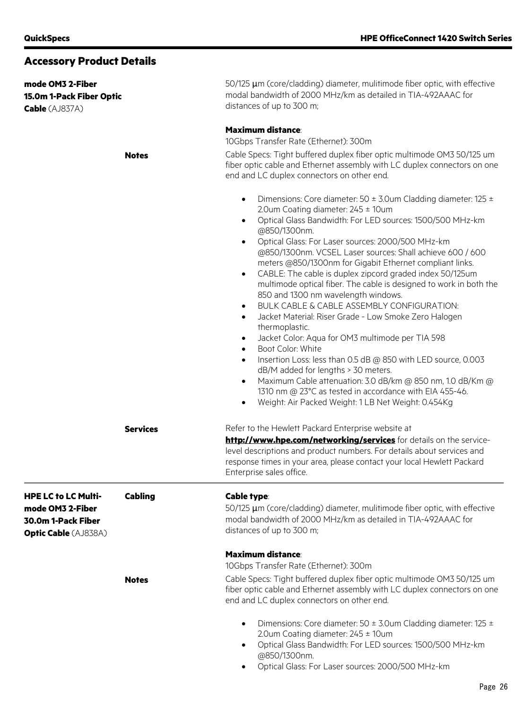| <b>Accessory Product Details</b>                                      |                 |                                                                                                                                                                                                                                                                                                                                                                                                                                                                                                                                                                                                                                                                                                                                                                                                                                                                                                                                                                                                                                                                                                                                                                                        |  |  |
|-----------------------------------------------------------------------|-----------------|----------------------------------------------------------------------------------------------------------------------------------------------------------------------------------------------------------------------------------------------------------------------------------------------------------------------------------------------------------------------------------------------------------------------------------------------------------------------------------------------------------------------------------------------------------------------------------------------------------------------------------------------------------------------------------------------------------------------------------------------------------------------------------------------------------------------------------------------------------------------------------------------------------------------------------------------------------------------------------------------------------------------------------------------------------------------------------------------------------------------------------------------------------------------------------------|--|--|
| mode OM3 2-Fiber<br>15.0m 1-Pack Fiber Optic<br><b>Cable</b> (AJ837A) |                 | 50/125 µm (core/cladding) diameter, mulitimode fiber optic, with effective<br>modal bandwidth of 2000 MHz/km as detailed in TIA-492AAAC for<br>distances of up to 300 m;                                                                                                                                                                                                                                                                                                                                                                                                                                                                                                                                                                                                                                                                                                                                                                                                                                                                                                                                                                                                               |  |  |
|                                                                       |                 | <b>Maximum distance:</b>                                                                                                                                                                                                                                                                                                                                                                                                                                                                                                                                                                                                                                                                                                                                                                                                                                                                                                                                                                                                                                                                                                                                                               |  |  |
|                                                                       |                 | 10Gbps Transfer Rate (Ethernet): 300m                                                                                                                                                                                                                                                                                                                                                                                                                                                                                                                                                                                                                                                                                                                                                                                                                                                                                                                                                                                                                                                                                                                                                  |  |  |
|                                                                       | <b>Notes</b>    | Cable Specs: Tight buffered duplex fiber optic multimode OM3 50/125 um<br>fiber optic cable and Ethernet assembly with LC duplex connectors on one<br>end and LC duplex connectors on other end.                                                                                                                                                                                                                                                                                                                                                                                                                                                                                                                                                                                                                                                                                                                                                                                                                                                                                                                                                                                       |  |  |
|                                                                       |                 | Dimensions: Core diameter: 50 ± 3.0um Cladding diameter: 125 ±<br>$\bullet$<br>2.0um Coating diameter: $245 \pm 10$ um<br>Optical Glass Bandwidth: For LED sources: 1500/500 MHz-km<br>$\bullet$<br>@850/1300nm.<br>Optical Glass: For Laser sources: 2000/500 MHz-km<br>$\bullet$<br>@850/1300nm. VCSEL Laser sources: Shall achieve 600 / 600<br>meters @850/1300nm for Gigabit Ethernet compliant links.<br>CABLE: The cable is duplex zipcord graded index 50/125um<br>$\bullet$<br>multimode optical fiber. The cable is designed to work in both the<br>850 and 1300 nm wavelength windows.<br>BULK CABLE & CABLE ASSEMBLY CONFIGURATION:<br>$\bullet$<br>Jacket Material: Riser Grade - Low Smoke Zero Halogen<br>$\bullet$<br>thermoplastic.<br>Jacket Color: Aqua for OM3 multimode per TIA 598<br>$\bullet$<br>Boot Color: White<br>$\bullet$<br>Insertion Loss: less than 0.5 dB @ 850 with LED source, 0.003<br>$\bullet$<br>dB/M added for lengths > 30 meters.<br>Maximum Cable attenuation: 3.0 dB/km @ 850 nm, 1.0 dB/Km @<br>$\bullet$<br>1310 nm @ 23°C as tested in accordance with EIA 455-46.<br>Weight: Air Packed Weight: 1 LB Net Weight: 0.454Kg<br>$\bullet$ |  |  |
|                                                                       | <b>Services</b> | Refer to the Hewlett Packard Enterprise website at<br>http://www.hpe.com/networking/services for details on the service-<br>level descriptions and product numbers. For details about services and<br>response times in your area, please contact your local Hewlett Packard<br>Enterprise sales office.                                                                                                                                                                                                                                                                                                                                                                                                                                                                                                                                                                                                                                                                                                                                                                                                                                                                               |  |  |
| <b>HPE LC to LC Multi-</b>                                            | <b>Cabling</b>  | Cable type:                                                                                                                                                                                                                                                                                                                                                                                                                                                                                                                                                                                                                                                                                                                                                                                                                                                                                                                                                                                                                                                                                                                                                                            |  |  |
| mode OM3 2-Fiber<br>30.0m 1-Pack Fiber<br><b>Optic Cable (AJ838A)</b> |                 | 50/125 µm (core/cladding) diameter, mulitimode fiber optic, with effective<br>modal bandwidth of 2000 MHz/km as detailed in TIA-492AAAC for<br>distances of up to 300 m;                                                                                                                                                                                                                                                                                                                                                                                                                                                                                                                                                                                                                                                                                                                                                                                                                                                                                                                                                                                                               |  |  |
|                                                                       |                 | <b>Maximum distance:</b>                                                                                                                                                                                                                                                                                                                                                                                                                                                                                                                                                                                                                                                                                                                                                                                                                                                                                                                                                                                                                                                                                                                                                               |  |  |
|                                                                       | <b>Notes</b>    | 10Gbps Transfer Rate (Ethernet): 300m<br>Cable Specs: Tight buffered duplex fiber optic multimode OM3 50/125 um<br>fiber optic cable and Ethernet assembly with LC duplex connectors on one<br>end and LC duplex connectors on other end.                                                                                                                                                                                                                                                                                                                                                                                                                                                                                                                                                                                                                                                                                                                                                                                                                                                                                                                                              |  |  |
|                                                                       |                 | Dimensions: Core diameter: 50 $\pm$ 3.0um Cladding diameter: 125 $\pm$<br>$\bullet$<br>2.0um Coating diameter: $245 \pm 10$ um<br>Optical Glass Bandwidth: For LED sources: 1500/500 MHz-km<br>$\bullet$<br>@850/1300nm.<br>Optical Glass: For Laser sources: 2000/500 MHz-km                                                                                                                                                                                                                                                                                                                                                                                                                                                                                                                                                                                                                                                                                                                                                                                                                                                                                                          |  |  |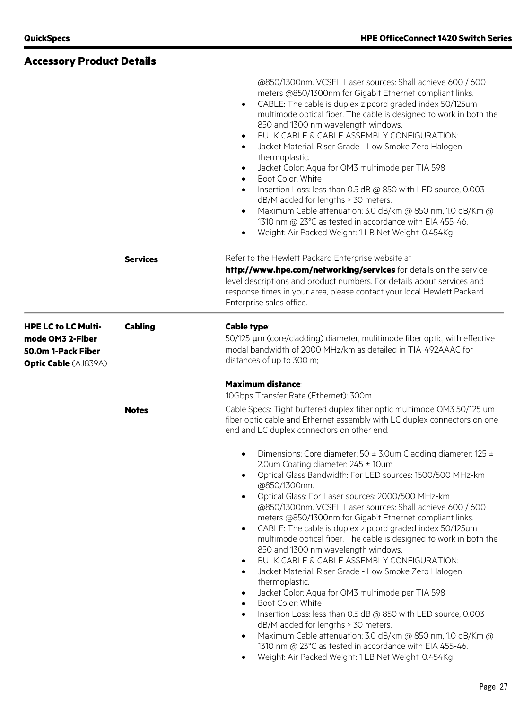|                                                                                                     |                 | @850/1300nm. VCSEL Laser sources: Shall achieve 600 / 600<br>meters @850/1300nm for Gigabit Ethernet compliant links.<br>CABLE: The cable is duplex zipcord graded index 50/125um<br>$\bullet$<br>multimode optical fiber. The cable is designed to work in both the<br>850 and 1300 nm wavelength windows.<br>BULK CABLE & CABLE ASSEMBLY CONFIGURATION:<br>$\bullet$<br>Jacket Material: Riser Grade - Low Smoke Zero Halogen<br>$\bullet$<br>thermoplastic.<br>Jacket Color: Aqua for OM3 multimode per TIA 598<br>$\bullet$<br>Boot Color: White<br>$\bullet$<br>Insertion Loss: less than 0.5 dB @ 850 with LED source, 0.003<br>$\bullet$<br>dB/M added for lengths > 30 meters.<br>Maximum Cable attenuation: 3.0 dB/km @ 850 nm, 1.0 dB/Km @<br>$\bullet$<br>1310 nm @ 23°C as tested in accordance with EIA 455-46.<br>Weight: Air Packed Weight: 1 LB Net Weight: 0.454Kg<br>$\bullet$                                                                                                                                                                                                                  |
|-----------------------------------------------------------------------------------------------------|-----------------|-------------------------------------------------------------------------------------------------------------------------------------------------------------------------------------------------------------------------------------------------------------------------------------------------------------------------------------------------------------------------------------------------------------------------------------------------------------------------------------------------------------------------------------------------------------------------------------------------------------------------------------------------------------------------------------------------------------------------------------------------------------------------------------------------------------------------------------------------------------------------------------------------------------------------------------------------------------------------------------------------------------------------------------------------------------------------------------------------------------------|
|                                                                                                     | <b>Services</b> | Refer to the Hewlett Packard Enterprise website at                                                                                                                                                                                                                                                                                                                                                                                                                                                                                                                                                                                                                                                                                                                                                                                                                                                                                                                                                                                                                                                                |
|                                                                                                     |                 | http://www.hpe.com/networking/services for details on the service-<br>level descriptions and product numbers. For details about services and<br>response times in your area, please contact your local Hewlett Packard<br>Enterprise sales office.                                                                                                                                                                                                                                                                                                                                                                                                                                                                                                                                                                                                                                                                                                                                                                                                                                                                |
| <b>HPE LC to LC Multi-</b><br>mode OM3 2-Fiber<br>50.0m 1-Pack Fiber<br><b>Optic Cable (AJ839A)</b> | <b>Cabling</b>  | <b>Cable type:</b><br>50/125 µm (core/cladding) diameter, mulitimode fiber optic, with effective<br>modal bandwidth of 2000 MHz/km as detailed in TIA-492AAAC for<br>distances of up to 300 m;                                                                                                                                                                                                                                                                                                                                                                                                                                                                                                                                                                                                                                                                                                                                                                                                                                                                                                                    |
|                                                                                                     |                 | <b>Maximum distance:</b><br>10Gbps Transfer Rate (Ethernet): 300m                                                                                                                                                                                                                                                                                                                                                                                                                                                                                                                                                                                                                                                                                                                                                                                                                                                                                                                                                                                                                                                 |
|                                                                                                     | <b>Notes</b>    | Cable Specs: Tight buffered duplex fiber optic multimode OM3 50/125 um<br>fiber optic cable and Ethernet assembly with LC duplex connectors on one<br>end and LC duplex connectors on other end.                                                                                                                                                                                                                                                                                                                                                                                                                                                                                                                                                                                                                                                                                                                                                                                                                                                                                                                  |
|                                                                                                     |                 | Dimensions: Core diameter: $50 \pm 3.0$ um Cladding diameter: 125 $\pm$<br>2.0um Coating diameter: $245 \pm 10$ um<br>Optical Glass Bandwidth: For LED sources: 1500/500 MHz-km<br>@850/1300nm.<br>Optical Glass: For Laser sources: 2000/500 MHz-km<br>@850/1300nm. VCSEL Laser sources: Shall achieve 600 / 600<br>meters @850/1300nm for Gigabit Ethernet compliant links.<br>CABLE: The cable is duplex zipcord graded index 50/125um<br>$\bullet$<br>multimode optical fiber. The cable is designed to work in both the<br>850 and 1300 nm wavelength windows.<br>BULK CABLE & CABLE ASSEMBLY CONFIGURATION:<br>Jacket Material: Riser Grade - Low Smoke Zero Halogen<br>$\bullet$<br>thermoplastic.<br>Jacket Color: Aqua for OM3 multimode per TIA 598<br>$\bullet$<br>Boot Color: White<br>$\bullet$<br>Insertion Loss: less than 0.5 dB @ 850 with LED source, 0.003<br>$\bullet$<br>dB/M added for lengths > 30 meters.<br>Maximum Cable attenuation: 3.0 dB/km @ 850 nm, 1.0 dB/Km @<br>1310 nm @ 23°C as tested in accordance with EIA 455-46.<br>Weight: Air Packed Weight: 1 LB Net Weight: 0.454Kg |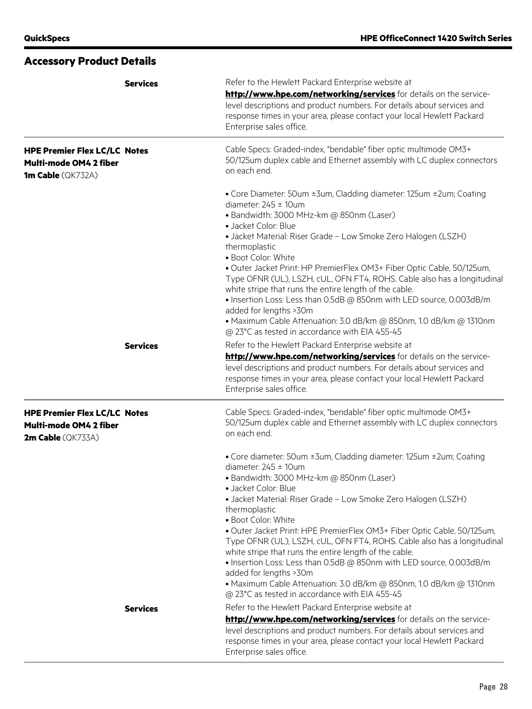|                                                                                           | <b>Services</b> | Refer to the Hewlett Packard Enterprise website at<br>http://www.hpe.com/networking/services for details on the service-<br>level descriptions and product numbers. For details about services and<br>response times in your area, please contact your local Hewlett Packard<br>Enterprise sales office.                                                                                                                                                                                                                                                                                                                                                                                                                |
|-------------------------------------------------------------------------------------------|-----------------|-------------------------------------------------------------------------------------------------------------------------------------------------------------------------------------------------------------------------------------------------------------------------------------------------------------------------------------------------------------------------------------------------------------------------------------------------------------------------------------------------------------------------------------------------------------------------------------------------------------------------------------------------------------------------------------------------------------------------|
| <b>HPE Premier Flex LC/LC Notes</b><br>Multi-mode OM4 2 fiber<br><b>1m Cable</b> (QK732A) |                 | Cable Specs: Graded-index, "bendable" fiber optic multimode OM3+<br>50/125um duplex cable and Ethernet assembly with LC duplex connectors<br>on each end.                                                                                                                                                                                                                                                                                                                                                                                                                                                                                                                                                               |
|                                                                                           |                 | • Core Diameter: 50um ±3um, Cladding diameter: 125um ±2um; Coating<br>diameter: $245 \pm 10$ um<br>· Bandwidth: 3000 MHz-km @ 850nm (Laser)<br>· Jacket Color: Blue<br>• Jacket Material: Riser Grade - Low Smoke Zero Halogen (LSZH)<br>thermoplastic<br>• Boot Color: White<br>· Outer Jacket Print: HP PremierFlex OM3+ Fiber Optic Cable, 50/125um,<br>Type OFNR (UL), LSZH, cUL, OFN FT4, ROHS. Cable also has a longitudinal<br>white stripe that runs the entire length of the cable.<br>• Insertion Loss: Less than 0.5dB @ 850nm with LED source, 0.003dB/m<br>added for lengths >30m<br>• Maximum Cable Attenuation: 3.0 dB/km @ 850nm, 1.0 dB/km @ 1310nm<br>@ 23°C as tested in accordance with EIA 455-45  |
|                                                                                           | <b>Services</b> | Refer to the Hewlett Packard Enterprise website at<br>http://www.hpe.com/networking/services for details on the service-<br>level descriptions and product numbers. For details about services and<br>response times in your area, please contact your local Hewlett Packard<br>Enterprise sales office.                                                                                                                                                                                                                                                                                                                                                                                                                |
| <b>HPE Premier Flex LC/LC Notes</b><br>Multi-mode OM4 2 fiber<br>2m Cable (QK733A)        |                 | Cable Specs: Graded-index, "bendable" fiber optic multimode OM3+<br>50/125um duplex cable and Ethernet assembly with LC duplex connectors<br>on each end.                                                                                                                                                                                                                                                                                                                                                                                                                                                                                                                                                               |
|                                                                                           |                 | • Core diameter: 50um ±3um, Cladding diameter: 125um ±2um; Coating<br>diameter: $245 \pm 10$ um<br>• Bandwidth: 3000 MHz-km @ 850nm (Laser)<br>· Jacket Color: Blue<br>• Jacket Material: Riser Grade - Low Smoke Zero Halogen (LSZH)<br>thermoplastic<br>· Boot Color: White<br>. Outer Jacket Print: HPE PremierFlex OM3+ Fiber Optic Cable, 50/125um,<br>Type OFNR (UL), LSZH, cUL, OFN FT4, ROHS. Cable also has a longitudinal<br>white stripe that runs the entire length of the cable.<br>• Insertion Loss: Less than 0.5dB @ 850nm with LED source, 0.003dB/m<br>added for lengths >30m<br>• Maximum Cable Attenuation: 3.0 dB/km @ 850nm, 1.0 dB/km @ 1310nm<br>@ 23°C as tested in accordance with EIA 455-45 |
|                                                                                           | <b>Services</b> | Refer to the Hewlett Packard Enterprise website at<br>http://www.hpe.com/networking/services for details on the service-<br>level descriptions and product numbers. For details about services and<br>response times in your area, please contact your local Hewlett Packard<br>Enterprise sales office.                                                                                                                                                                                                                                                                                                                                                                                                                |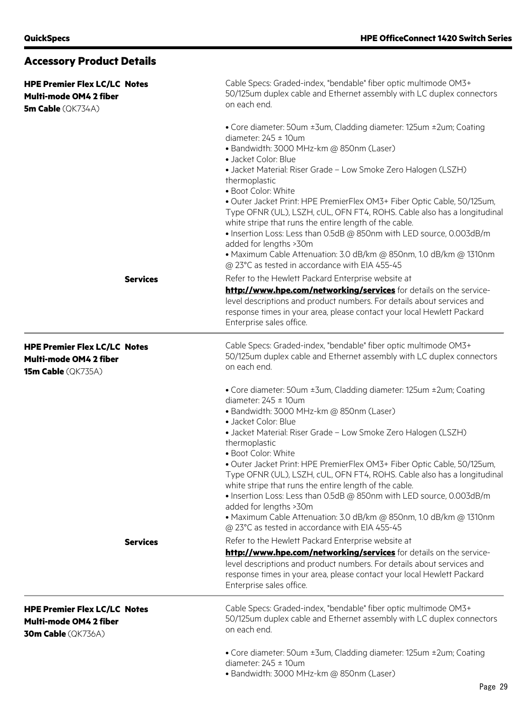| <b>HPE Premier Flex LC/LC Notes</b><br>Multi-mode OM4 2 fiber<br><b>5m Cable</b> (QK734A)         |                 | Cable Specs: Graded-index, "bendable" fiber optic multimode OM3+<br>50/125um duplex cable and Ethernet assembly with LC duplex connectors<br>on each end.                                                                                                                                                                                                                                                                                                                                                                                                                                                                                                                                                                                                                                                                                                                                                                                                                                                                           |  |  |
|---------------------------------------------------------------------------------------------------|-----------------|-------------------------------------------------------------------------------------------------------------------------------------------------------------------------------------------------------------------------------------------------------------------------------------------------------------------------------------------------------------------------------------------------------------------------------------------------------------------------------------------------------------------------------------------------------------------------------------------------------------------------------------------------------------------------------------------------------------------------------------------------------------------------------------------------------------------------------------------------------------------------------------------------------------------------------------------------------------------------------------------------------------------------------------|--|--|
|                                                                                                   |                 | • Core diameter: 50um ±3um, Cladding diameter: 125um ±2um; Coating<br>diameter: $245 \pm 10$ um<br>· Bandwidth: 3000 MHz-km @ 850nm (Laser)<br>· Jacket Color: Blue<br>• Jacket Material: Riser Grade - Low Smoke Zero Halogen (LSZH)<br>thermoplastic<br>· Boot Color: White<br>· Outer Jacket Print: HPE PremierFlex OM3+ Fiber Optic Cable, 50/125um,<br>Type OFNR (UL), LSZH, cUL, OFN FT4, ROHS. Cable also has a longitudinal<br>white stripe that runs the entire length of the cable.<br>. Insertion Loss: Less than 0.5dB @ 850nm with LED source, 0.003dB/m<br>added for lengths >30m<br>• Maximum Cable Attenuation: 3.0 dB/km @ 850nm, 1.0 dB/km @ 1310nm<br>@ 23°C as tested in accordance with EIA 455-45                                                                                                                                                                                                                                                                                                             |  |  |
|                                                                                                   | <b>Services</b> | Refer to the Hewlett Packard Enterprise website at<br>http://www.hpe.com/networking/services for details on the service-<br>level descriptions and product numbers. For details about services and<br>response times in your area, please contact your local Hewlett Packard<br>Enterprise sales office.                                                                                                                                                                                                                                                                                                                                                                                                                                                                                                                                                                                                                                                                                                                            |  |  |
| <b>HPE Premier Flex LC/LC Notes</b><br>Multi-mode OM4 2 fiber<br><b>15m Cable</b> (QK735A)        |                 | Cable Specs: Graded-index, "bendable" fiber optic multimode OM3+<br>50/125um duplex cable and Ethernet assembly with LC duplex connectors<br>on each end.                                                                                                                                                                                                                                                                                                                                                                                                                                                                                                                                                                                                                                                                                                                                                                                                                                                                           |  |  |
|                                                                                                   | <b>Services</b> | • Core diameter: 50um ±3um, Cladding diameter: 125um ±2um; Coating<br>diameter: $245 \pm 10$ um<br>· Bandwidth: 3000 MHz-km @ 850nm (Laser)<br>• Jacket Color: Blue<br>• Jacket Material: Riser Grade - Low Smoke Zero Halogen (LSZH)<br>thermoplastic<br>· Boot Color: White<br>· Outer Jacket Print: HPE PremierFlex OM3+ Fiber Optic Cable, 50/125um,<br>Type OFNR (UL), LSZH, cUL, OFN FT4, ROHS. Cable also has a longitudinal<br>white stripe that runs the entire length of the cable.<br>. Insertion Loss: Less than 0.5dB @ 850nm with LED source, 0.003dB/m<br>added for lengths >30m<br>• Maximum Cable Attenuation: 3.0 dB/km @ 850nm, 1.0 dB/km @ 1310nm<br>@ 23°C as tested in accordance with EIA 455-45<br>Refer to the Hewlett Packard Enterprise website at<br>http://www.hpe.com/networking/services for details on the service-<br>level descriptions and product numbers. For details about services and<br>response times in your area, please contact your local Hewlett Packard<br>Enterprise sales office. |  |  |
| <b>HPE Premier Flex LC/LC Notes</b><br><b>Multi-mode OM4 2 fiber</b><br><b>30m Cable</b> (QK736A) |                 | Cable Specs: Graded-index, "bendable" fiber optic multimode OM3+<br>50/125um duplex cable and Ethernet assembly with LC duplex connectors<br>on each end.                                                                                                                                                                                                                                                                                                                                                                                                                                                                                                                                                                                                                                                                                                                                                                                                                                                                           |  |  |
|                                                                                                   |                 | • Core diameter: 50um ±3um, Cladding diameter: 125um ±2um; Coating<br>diameter: $245 \pm 10$ um<br>· Bandwidth: 3000 MHz-km @ 850nm (Laser)                                                                                                                                                                                                                                                                                                                                                                                                                                                                                                                                                                                                                                                                                                                                                                                                                                                                                         |  |  |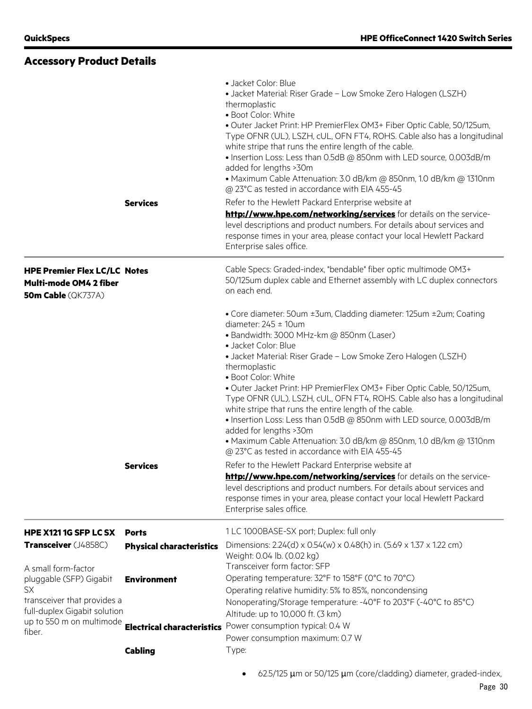| <b>Accessory Product Details</b>                                                                                           |                                                 |                                                                                                                                                                                                                                                                                                                                                                                                                                                                                                                                                                                                                                                                                                                                                                                                                                                                                     |
|----------------------------------------------------------------------------------------------------------------------------|-------------------------------------------------|-------------------------------------------------------------------------------------------------------------------------------------------------------------------------------------------------------------------------------------------------------------------------------------------------------------------------------------------------------------------------------------------------------------------------------------------------------------------------------------------------------------------------------------------------------------------------------------------------------------------------------------------------------------------------------------------------------------------------------------------------------------------------------------------------------------------------------------------------------------------------------------|
|                                                                                                                            | <b>Services</b>                                 | · Jacket Color: Blue<br>• Jacket Material: Riser Grade - Low Smoke Zero Halogen (LSZH)<br>thermoplastic<br>• Boot Color: White<br>. Outer Jacket Print: HP PremierFlex OM3+ Fiber Optic Cable, 50/125um,<br>Type OFNR (UL), LSZH, cUL, OFN FT4, ROHS. Cable also has a longitudinal<br>white stripe that runs the entire length of the cable.<br>• Insertion Loss: Less than 0.5dB @ 850nm with LED source, 0.003dB/m<br>added for lengths >30m<br>• Maximum Cable Attenuation: 3.0 dB/km @ 850nm, 1.0 dB/km @ 1310nm<br>@ 23°C as tested in accordance with EIA 455-45<br>Refer to the Hewlett Packard Enterprise website at<br>http://www.hpe.com/networking/services for details on the service-<br>level descriptions and product numbers. For details about services and<br>response times in your area, please contact your local Hewlett Packard<br>Enterprise sales office. |
| <b>HPE Premier Flex LC/LC Notes</b><br>Multi-mode OM4 2 fiber<br><b>50m Cable</b> (QK737A)                                 |                                                 | Cable Specs: Graded-index, "bendable" fiber optic multimode OM3+<br>50/125um duplex cable and Ethernet assembly with LC duplex connectors<br>on each end.                                                                                                                                                                                                                                                                                                                                                                                                                                                                                                                                                                                                                                                                                                                           |
|                                                                                                                            |                                                 | • Core diameter: 50um ±3um, Cladding diameter: 125um ±2um; Coating<br>diameter: $245 \pm 10$ um<br>· Bandwidth: 3000 MHz-km @ 850nm (Laser)<br>· Jacket Color: Blue<br>• Jacket Material: Riser Grade - Low Smoke Zero Halogen (LSZH)<br>thermoplastic<br>· Boot Color: White<br>· Outer Jacket Print: HP PremierFlex OM3+ Fiber Optic Cable, 50/125um,<br>Type OFNR (UL), LSZH, cUL, OFN FT4, ROHS. Cable also has a longitudinal<br>white stripe that runs the entire length of the cable.<br>• Insertion Loss: Less than 0.5dB @ 850nm with LED source, 0.003dB/m<br>added for lengths >30m<br>• Maximum Cable Attenuation: 3.0 dB/km @ 850nm, 1.0 dB/km @ 1310nm<br>@ 23°C as tested in accordance with EIA 455-45                                                                                                                                                              |
|                                                                                                                            | <b>Services</b>                                 | Refer to the Hewlett Packard Enterprise website at<br>http://www.hpe.com/networking/services for details on the service-<br>level descriptions and product numbers. For details about services and<br>response times in your area, please contact your local Hewlett Packard<br>Enterprise sales office.                                                                                                                                                                                                                                                                                                                                                                                                                                                                                                                                                                            |
| HPE X121 1G SFP LC SX<br>Transceiver (J4858C)                                                                              | <b>Ports</b><br><b>Physical characteristics</b> | 1 LC 1000BASE-SX port; Duplex: full only<br>Dimensions: 2.24(d) x 0.54(w) x 0.48(h) in. (5.69 x 1.37 x 1.22 cm)<br>Weight: 0.04 lb. (0.02 kg)                                                                                                                                                                                                                                                                                                                                                                                                                                                                                                                                                                                                                                                                                                                                       |
| A small form-factor<br>pluggable (SFP) Gigabit<br><b>SX</b><br>transceiver that provides a<br>full-duplex Gigabit solution | <b>Environment</b>                              | Transceiver form factor: SFP<br>Operating temperature: 32°F to 158°F (0°C to 70°C)<br>Operating relative humidity: 5% to 85%, noncondensing<br>Nonoperating/Storage temperature: - 40°F to 203°F (-40°C to 85°C)<br>Altitude: up to 10,000 ft. (3 km)                                                                                                                                                                                                                                                                                                                                                                                                                                                                                                                                                                                                                               |
| up to 550 m on multimode<br>fiber.                                                                                         | <b>Cabling</b>                                  | <b>Electrical characteristics</b> Power consumption typical: 0.4 W<br>Power consumption maximum: 0.7 W<br>Type:                                                                                                                                                                                                                                                                                                                                                                                                                                                                                                                                                                                                                                                                                                                                                                     |
|                                                                                                                            |                                                 |                                                                                                                                                                                                                                                                                                                                                                                                                                                                                                                                                                                                                                                                                                                                                                                                                                                                                     |

• 62.5/125 µm or 50/125 µm (core/cladding) diameter, graded-index,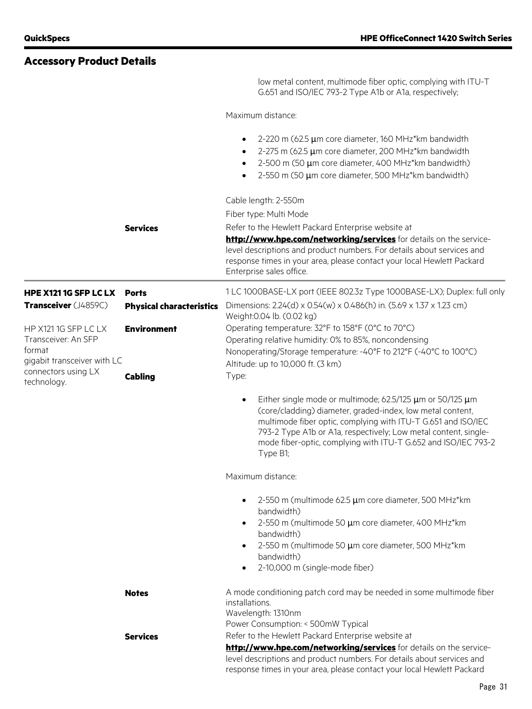## **Accessory Product Details**

low metal content, multimode fiber optic, complying with ITU-T G.651 and ISO/IEC 793-2 Type A1b or A1a, respectively;

Maximum distance:

|                                                                                      |                                 | 2-220 m (62.5 µm core diameter, 160 MHz*km bandwidth<br>$\bullet$<br>2-275 m (62.5 µm core diameter, 200 MHz*km bandwidth<br>$\bullet$<br>2-500 m (50 µm core diameter, 400 MHz*km bandwidth)<br>$\bullet$<br>2-550 m (50 µm core diameter, 500 MHz*km bandwidth)<br>$\bullet$                                                                                   |
|--------------------------------------------------------------------------------------|---------------------------------|------------------------------------------------------------------------------------------------------------------------------------------------------------------------------------------------------------------------------------------------------------------------------------------------------------------------------------------------------------------|
|                                                                                      | <b>Services</b>                 | Cable length: 2-550m<br>Fiber type: Multi Mode<br>Refer to the Hewlett Packard Enterprise website at<br>http://www.hpe.com/networking/services for details on the service-                                                                                                                                                                                       |
|                                                                                      |                                 | level descriptions and product numbers. For details about services and<br>response times in your area, please contact your local Hewlett Packard<br>Enterprise sales office.                                                                                                                                                                                     |
| HPE X121 1G SFP LC LX                                                                | <b>Ports</b>                    | 1 LC 1000BASE-LX port (IEEE 802.3z Type 1000BASE-LX); Duplex: full only                                                                                                                                                                                                                                                                                          |
| Transceiver (J4859C)                                                                 | <b>Physical characteristics</b> | Dimensions: 2.24(d) x 0.54(w) x 0.486(h) in. (5.69 x 1.37 x 1.23 cm)<br>Weight: 0.04 lb. (0.02 kg)                                                                                                                                                                                                                                                               |
| HP X121 1G SFP LC LX<br>Transceiver: An SFP<br>format<br>gigabit transceiver with LC | <b>Environment</b>              | Operating temperature: 32°F to 158°F (0°C to 70°C)<br>Operating relative humidity: 0% to 85%, noncondensing<br>Nonoperating/Storage temperature: -40°F to 212°F (-40°C to 100°C)<br>Altitude: up to 10,000 ft. (3 km)                                                                                                                                            |
| connectors using LX<br>technology.                                                   | <b>Cabling</b>                  | Type:                                                                                                                                                                                                                                                                                                                                                            |
|                                                                                      |                                 | Either single mode or multimode; 62.5/125 $\mu$ m or 50/125 $\mu$ m<br>$\bullet$<br>(core/cladding) diameter, graded-index, low metal content,<br>multimode fiber optic, complying with ITU-T G.651 and ISO/IEC<br>793-2 Type A1b or A1a, respectively; Low metal content, single-<br>mode fiber-optic, complying with ITU-T G.652 and ISO/IEC 793-2<br>Type B1; |
|                                                                                      |                                 | Maximum distance:                                                                                                                                                                                                                                                                                                                                                |
|                                                                                      |                                 | 2-550 m (multimode 62.5 µm core diameter, 500 MHz*km<br>bandwidth)<br>2-550 m (multimode 50 µm core diameter, 400 MHz*km<br>bandwidth)<br>2-550 m (multimode 50 µm core diameter, 500 MHz*km<br>٠<br>bandwidth)                                                                                                                                                  |
|                                                                                      |                                 | 2-10,000 m (single-mode fiber)<br>$\bullet$                                                                                                                                                                                                                                                                                                                      |
|                                                                                      | <b>Notes</b>                    | A mode conditioning patch cord may be needed in some multimode fiber<br>installations.<br>Wavelength: 1310nm<br>Power Consumption: < 500mW Typical                                                                                                                                                                                                               |
|                                                                                      | <b>Services</b>                 | Refer to the Hewlett Packard Enterprise website at<br>http://www.hpe.com/networking/services for details on the service-<br>level descriptions and product numbers. For details about services and<br>response times in your area, please contact your local Hewlett Packard                                                                                     |